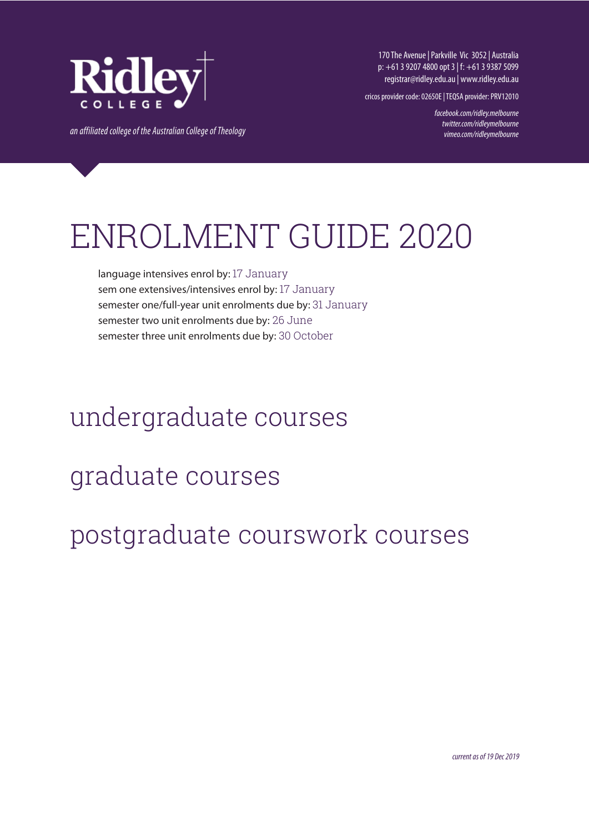

170 The Avenue | Parkville Vic 3052 | Australia p: +61 3 9207 4800 opt 3 | f: +61 3 9387 5099 registrar@ridley.edu.au | www.ridley.edu.au

cricos provider code: 02650E | TEQSA provider: PRV12010

*facebook.com/ridley.melbourne twitter.com/ridleymelbourne vimeo.com/ridleymelbourne*

*an affiliated college of the Australian College of Theology*

# ENROLMENT GUIDE 2020

language intensives enrol by: 17 January sem one extensives/intensives enrol by: 17 January semester one/full-year unit enrolments due by: 31 January semester two unit enrolments due by: 26 June semester three unit enrolments due by: 30 October

# undergraduate courses

# graduate courses

# postgraduate courswork courses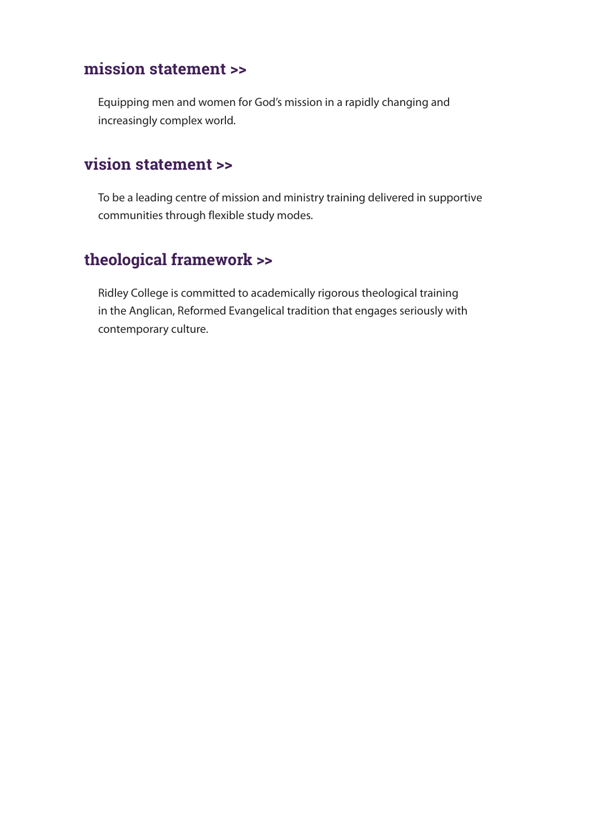# **mission statement >>**

Equipping men and women for God's mission in a rapidly changing and increasingly complex world.

# **vision statement >>**

To be a leading centre of mission and ministry training delivered in supportive communities through flexible study modes.

# **theological framework >>**

Ridley College is committed to academically rigorous theological training in the Anglican, Reformed Evangelical tradition that engages seriously with contemporary culture.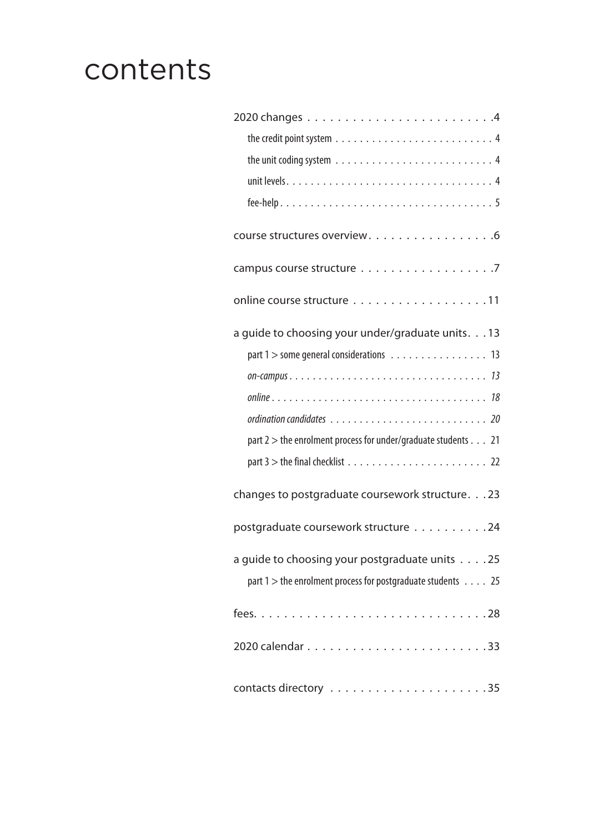# contents

| course structures overview. 6                                            |
|--------------------------------------------------------------------------|
|                                                                          |
| online course structure 11                                               |
| a guide to choosing your under/graduate units. 13                        |
| part 1 > some general considerations 13                                  |
|                                                                          |
|                                                                          |
|                                                                          |
| part 2 > the enrolment process for under/graduate students 21            |
|                                                                          |
| changes to postgraduate coursework structure. 23                         |
| postgraduate coursework structure 24                                     |
| a guide to choosing your postgraduate units 25                           |
| part $1$ > the enrolment process for postgraduate students $\ldots$ . 25 |
|                                                                          |
|                                                                          |
|                                                                          |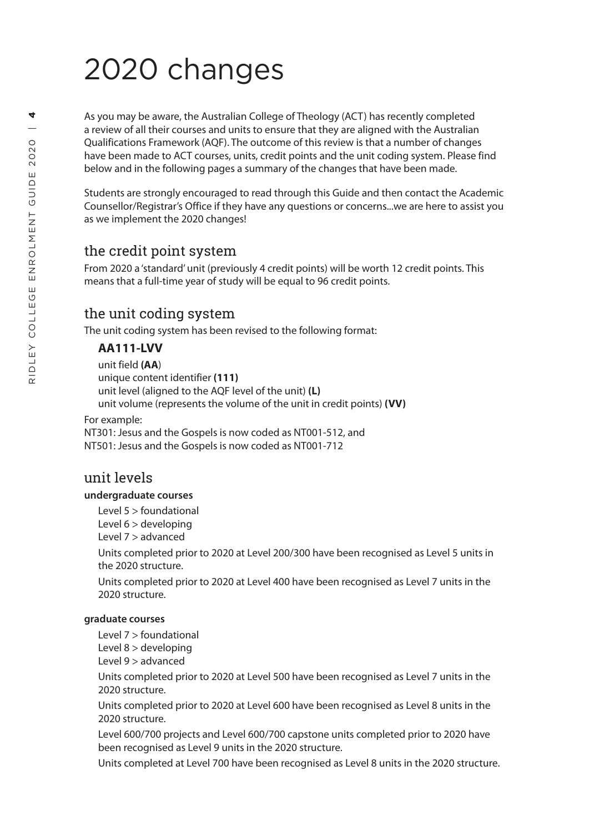# 2020 changes

As you may be aware, the Australian College of Theology (ACT) has recently completed a review of all their courses and units to ensure that they are aligned with the Australian Qualifications Framework (AQF). The outcome of this review is that a number of changes have been made to ACT courses, units, credit points and the unit coding system. Please find below and in the following pages a summary of the changes that have been made.

Students are strongly encouraged to read through this Guide and then contact the Academic Counsellor/Registrar's Office if they have any questions or concerns...we are here to assist you as we implement the 2020 changes!

# the credit point system

From 2020 a 'standard' unit (previously 4 credit points) will be worth 12 credit points. This means that a full-time year of study will be equal to 96 credit points.

# the unit coding system

The unit coding system has been revised to the following format:

## **AA111-LVV**

unit field **(AA** ) unique content identifier **(111)** unit level (aligned to the AQF level of the unit) **(L)** unit volume (represents the volume of the unit in credit points) **(VV)**

For example:

NT301: Jesus and the Gospels is now coded as NT001-512, and NT501: Jesus and the Gospels is now coded as NT001-712

# unit levels

#### **undergraduate courses**

Level 5 > foundational

Level 6 > developing

Level 7 > advanced

Units completed prior to 2020 at Level 200/300 have been recognised as Level 5 units in the 2020 structure.

Units completed prior to 2020 at Level 400 have been recognised as Level 7 units in the 2020 structure.

#### **graduate courses**

Level 7 > foundational

Level 8 > developing

Level 9 > advanced

Units completed prior to 2020 at Level 500 have been recognised as Level 7 units in the 2020 structure.

Units completed prior to 2020 at Level 600 have been recognised as Level 8 units in the 2020 structure.

Level 600/700 projects and Level 600/700 capstone units completed prior to 2020 have been recognised as Level 9 units in the 2020 structure.

Units completed at Level 700 have been recognised as Level 8 units in the 2020 structure.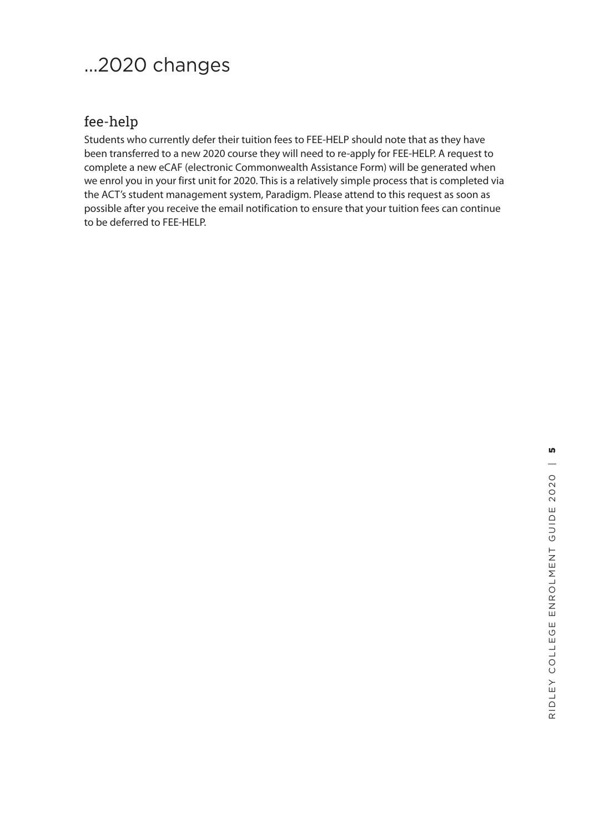# ...2020 changes

# fee-help

Students who currently defer their tuition fees to FEE-HELP should note that as they have been transferred to a new 2020 course they will need to re-apply for FEE-HELP. A request to complete a new eCAF (electronic Commonwealth Assistance Form) will be generated when we enrol you in your first unit for 2020. This is a relatively simple process that is completed via the ACT's student management system, Paradigm. Please attend to this request as soon as possible after you receive the email notification to ensure that your tuition fees can continue to be deferred to FEE-HELP.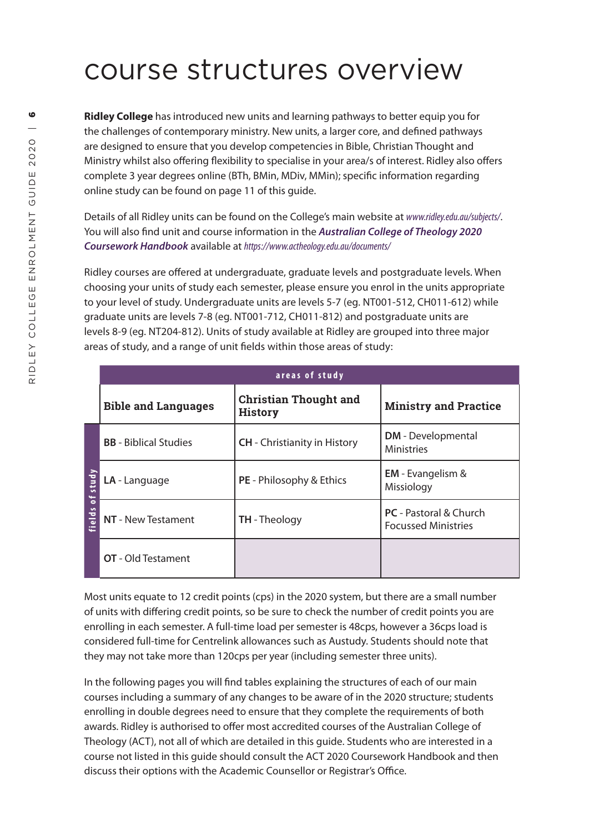# course structures overview

**Ridley College** has introduced new units and learning pathways to better equip you for the challenges of contemporary ministry. New units, a larger core, and defined pathways are designed to ensure that you develop competencies in Bible, Christian Thought and Ministry whilst also offering flexibility to specialise in your area/s of interest. Ridley also offers complete 3 year degrees online (BTh, BMin, MDiv, MMin); specific information regarding online study can be found on page 11 of this guide.

Details of all Ridley units can be found on the College's main website at *www.ridley.edu.au/subjects/*. You will also find unit and course information in the *Australian College of Theology 2020 Coursework Handbook* available at *https://www.actheology.edu.au/documents/*

Ridley courses are offered at undergraduate, graduate levels and postgraduate levels. When choosing your units of study each semester, please ensure you enrol in the units appropriate to your level of study. Undergraduate units are levels 5-7 (eg. NT001-512, CH011-612) while graduate units are levels 7-8 (eg. NT001-712, CH011-812) and postgraduate units are levels 8-9 (eg. NT204-812). Units of study available at Ridley are grouped into three major areas of study, and a range of unit fields within those areas of study:

| areas of study       |                              |                                                |                                                             |
|----------------------|------------------------------|------------------------------------------------|-------------------------------------------------------------|
|                      | <b>Bible and Languages</b>   | <b>Christian Thought and</b><br><b>History</b> | <b>Ministry and Practice</b>                                |
| study<br>ᅙ<br>fields | <b>BB</b> - Biblical Studies | <b>CH</b> - Christianity in History            | <b>DM</b> - Developmental<br><b>Ministries</b>              |
|                      | LA - Language                | <b>PE</b> - Philosophy & Ethics                | <b>EM</b> - Evangelism &<br>Missiology                      |
|                      | NT - New Testament           | <b>TH</b> - Theology                           | <b>PC</b> - Pastoral & Church<br><b>Focussed Ministries</b> |
|                      | <b>OT</b> - Old Testament    |                                                |                                                             |

Most units equate to 12 credit points (cps) in the 2020 system, but there are a small number of units with differing credit points, so be sure to check the number of credit points you are enrolling in each semester. A full-time load per semester is 48cps, however a 36cps load is considered full-time for Centrelink allowances such as Austudy. Students should note that they may not take more than 120cps per year (including semester three units).

In the following pages you will find tables explaining the structures of each of our main courses including a summary of any changes to be aware of in the 2020 structure; students enrolling in double degrees need to ensure that they complete the requirements of both awards. Ridley is authorised to offer most accredited courses of the Australian College of Theology (ACT), not all of which are detailed in this guide. Students who are interested in a course not listed in this guide should consult the ACT 2020 Coursework Handbook and then discuss their options with the Academic Counsellor or Registrar's Office.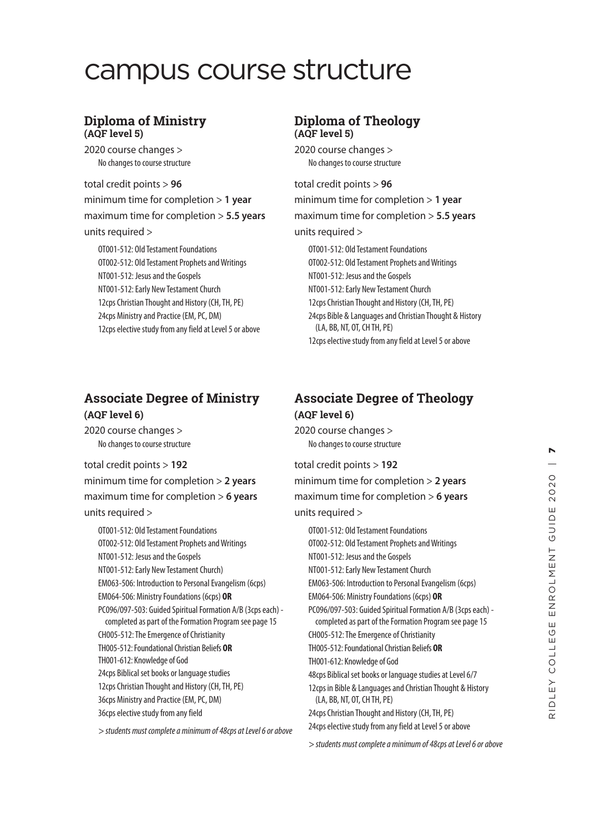# campus course structure

#### **Diploma of Ministry (AQF level 5)**

2020 course changes > No changes to course structure

#### total credit points > **96**

minimum time for completion > **1 year** maximum time for completion > **5.5 years** units required >

OT001-512: Old Testament Foundations OT002-512: Old Testament Prophets and Writings NT001-512: Jesus and the Gospels NT001-512: Early New Testament Church 12cps Christian Thought and History (CH, TH, PE) 24cps Ministry and Practice (EM, PC, DM) 12cps elective study from any field at Level 5 or above

# **Associate Degree of Ministry (AQF level 6)**

2020 course changes > No changes to course structure

total credit points > **192** minimum time for completion > **2 years** maximum time for completion > **6 years** units required >

OT001-512: Old Testament Foundations OT002-512: Old Testament Prophets and Writings NT001-512: Jesus and the Gospels NT001-512: Early New Testament Church) EM063-506: Introduction to Personal Evangelism (6cps) EM064-506: Ministry Foundations (6cps) **OR** PC096/097-503: Guided Spiritual Formation A/B (3cps each) completed as part of the Formation Program see page 15 CH005-512: The Emergence of Christianity TH005-512: Foundational Christian Beliefs **OR** TH001-612: Knowledge of God 24cps Biblical set books or language studies 12cps Christian Thought and History (CH, TH, PE) 36cps Ministry and Practice (EM, PC, DM) 36cps elective study from any field

*> students must complete a minimum of 48cps at Level 6 or above*

## **Diploma of Theology (AQF level 5)**

2020 course changes > No changes to course structure

#### total credit points > **96**

minimum time for completion > **1 year**

maximum time for completion > **5.5 years**

#### units required >

OT001-512: Old Testament Foundations OT002-512: Old Testament Prophets and Writings NT001-512: Jesus and the Gospels NT001-512: Early New Testament Church 12cps Christian Thought and History (CH, TH, PE) 24cps Bible & Languages and Christian Thought & History (LA, BB, NT, OT, CH TH, PE) 12cps elective study from any field at Level 5 or above

# **Associate Degree of Theology (AQF level 6)**

2020 course changes > No changes to course structure

#### total credit points > **192**

minimum time for completion > **2 years**

maximum time for completion > **6 years**

#### units required >

OT001-512: Old Testament Foundations OT002-512: Old Testament Prophets and Writings NT001-512: Jesus and the Gospels NT001-512: Early New Testament Church EM063-506: Introduction to Personal Evangelism (6cps) EM064-506: Ministry Foundations (6cps) **OR** PC096/097-503: Guided Spiritual Formation A/B (3cps each) completed as part of the Formation Program see page 15 CH005-512: The Emergence of Christianity TH005-512: Foundational Christian Beliefs **OR** TH001-612: Knowledge of God 48cps Biblical set books or language studies at Level 6/7 12cps in Bible & Languages and Christian Thought & History (LA, BB, NT, OT, CH TH, PE) 24cps Christian Thought and History (CH, TH, PE) 24cps elective study from any field at Level 5 or above

*> students must complete a minimum of 48cps at Level 6 or above*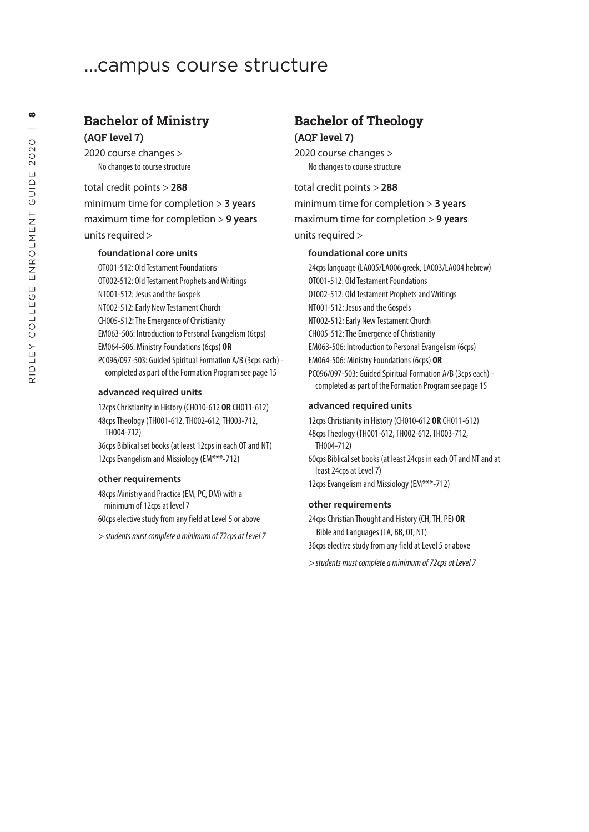# ...campus course structure

### **Bachelor of Ministry (AQF level 7)**

2020 course changes > No changes to course structure

total credit points > **288** minimum time for completion > **3 years** maximum time for completion > **9 years** units required >

#### **foundational core units**

OT001-512: Old Testament Foundations OT002-512: Old Testament Prophets and Writings NT001-512: Jesus and the Gospels NT002-512: Early New Testament Church CH005-512: The Emergence of Christianity EM063-506: Introduction to Personal Evangelism (6cps) EM064-506: Ministry Foundations (6cps) **OR** PC096/097-503: Guided Spiritual Formation A/B (3cps each) completed as part of the Formation Program see page 15

#### **advanced required units**

12cps Christianity in History (CH010-612 **OR** CH011-612) 48cps Theology (TH001-612, TH002-612, TH003-712, TH004-712)

36cps Biblical set books (at least 12cps in each OT and NT) 12cps Evangelism and Missiology (EM\*\*\*-712)

#### **other requirements**

48cps Ministry and Practice (EM, PC, DM) with a minimum of 12cps at level 7

60cps elective study from any field at Level 5 or above

*> students must complete a minimum of 72cps at Level 7*

# **Bachelor of Theology (AQF level 7)**

2020 course changes > No changes to course structure

#### total credit points > **288**

minimum time for completion > **3 years** maximum time for completion > **9 years** units required >

#### **foundational core units**

24cps language (LA005/LA006 greek, LA003/LA004 hebrew) OT001-512: Old Testament Foundations OT002-512: Old Testament Prophets and Writings NT001-512: Jesus and the Gospels NT002-512: Early New Testament Church CH005-512: The Emergence of Christianity EM063-506: Introduction to Personal Evangelism (6cps) EM064-506: Ministry Foundations (6cps) **OR** PC096/097-503: Guided Spiritual Formation A/B (3cps each) completed as part of the Formation Program see page 15

#### **advanced required units**

12cps Christianity in History (CH010-612 **OR** CH011-612) 48cps Theology (TH001-612, TH002-612, TH003-712, TH004-712) 60cps Biblical set books (at least 24cps in each OT and NT and at least 24cps at Level 7) 12cps Evangelism and Missiology (EM\*\*\*-712)

#### **other requirements**

24cps Christian Thought and History (CH, TH, PE) **OR** Bible and Languages (LA, BB, OT, NT) 36cps elective study from any field at Level 5 or above

*> students must complete a minimum of 72cps at Level 7*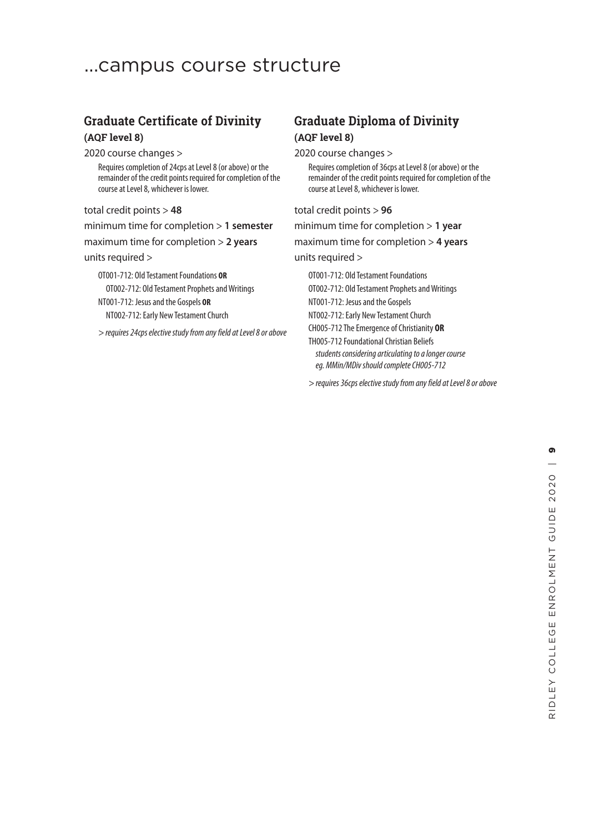# ...campus course structure

# **Graduate Certificate of Divinity (AQF level 8)**

2020 course changes >

Requires completion of 24cps at Level 8 (or above) or the remainder of the credit points required for completion of the course at Level 8, whichever is lower.

total credit points > **48**

minimum time for completion > **1 semester**

maximum time for completion > **2 years**

#### units required >

OT001-712: Old Testament Foundations **OR** OT002-712: Old Testament Prophets and Writings NT001-712: Jesus and the Gospels **OR** NT002-712: Early New Testament Church

*> requires 24cps elective study from any field at Level 8 or above*

# **Graduate Diploma of Divinity (AQF level 8)**

2020 course changes >

Requires completion of 36cps at Level 8 (or above) or the remainder of the credit points required for completion of the course at Level 8, whichever is lower.

total credit points > **96**

minimum time for completion > **1 year**

maximum time for completion > **4 years**

#### units required >

OT001-712: Old Testament Foundations OT002-712: Old Testament Prophets and Writings NT001-712: Jesus and the Gospels

NT002-712: Early New Testament Church

CH005-712 The Emergence of Christianity **OR**

TH005-712 Foundational Christian Beliefs  *students considering articulating to a longer course eg. MMin/MDiv should complete CH005-712*

*> requires 36cps elective study from any field at Level 8 or above*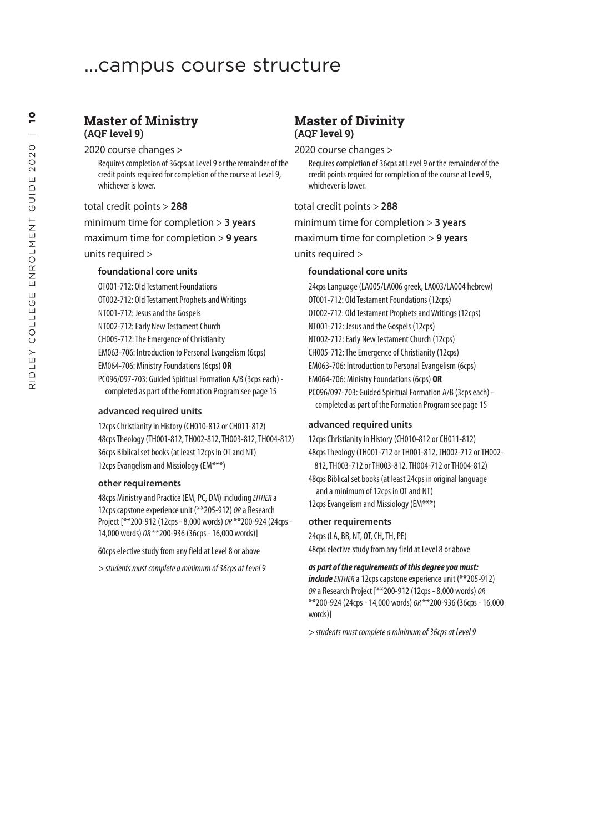# ...campus course structure

#### **Master of Ministry (AQF level 9)**

2020 course changes >

Requires completion of 36cps at Level 9 or the remainder of the credit points required for completion of the course at Level 9, whichever is lower.

total credit points > **288**

minimum time for completion > **3 years** maximum time for completion > **9 years**

units required >

#### **foundational core units**

OT001-712: Old Testament Foundations OT002-712: Old Testament Prophets and Writings NT001-712: Jesus and the Gospels NT002-712: Early New Testament Church CH005-712: The Emergence of Christianity EM063-706: Introduction to Personal Evangelism (6cps) EM064-706: Ministry Foundations (6cps) **OR** PC096/097-703: Guided Spiritual Formation A/B (3cps each) completed as part of the Formation Program see page 15

#### **advanced required units**

12cps Christianity in History (CH010-812 or CH011-812) 48cps Theology (TH001-812, TH002-812, TH003-812, TH004-812) 36cps Biblical set books (at least 12cps in OT and NT) 12cps Evangelism and Missiology (EM\*\*\*)

#### **other requirements**

48cps Ministry and Practice (EM, PC, DM) including *EITHER* a 12cps capstone experience unit (\*\*205-912) *OR* a Research Project [\*\*200-912 (12cps - 8,000 words) *OR* \*\*200-924 (24cps - 14,000 words) *OR* \*\*200-936 (36cps - 16,000 words)]

60cps elective study from any field at Level 8 or above

*> students must complete a minimum of 36cps at Level 9*

### **Master of Divinity (AQF level 9)**

2020 course changes >

Requires completion of 36cps at Level 9 or the remainder of the credit points required for completion of the course at Level 9, whichever is lower.

total credit points > **288**

minimum time for completion > **3 years**

maximum time for completion > **9 years**

units required >

#### **foundational core units**

24cps Language (LA005/LA006 greek, LA003/LA004 hebrew) OT001-712: Old Testament Foundations (12cps) OT002-712: Old Testament Prophets and Writings (12cps) NT001-712: Jesus and the Gospels (12cps) NT002-712: Early New Testament Church (12cps) CH005-712: The Emergence of Christianity (12cps) EM063-706: Introduction to Personal Evangelism (6cps) EM064-706: Ministry Foundations (6cps) **OR** PC096/097-703: Guided Spiritual Formation A/B (3cps each) completed as part of the Formation Program see page 15

#### **advanced required units**

12cps Christianity in History (CH010-812 or CH011-812) 48cps Theology (TH001-712 or TH001-812, TH002-712 or TH002- 812, TH003-712 or TH003-812, TH004-712 or TH004-812) 48cps Biblical set books (at least 24cps in original language and a minimum of 12cps in OT and NT) 12cps Evangelism and Missiology (EM\*\*\*)

#### **other requirements**

24cps (LA, BB, NT, OT, CH, TH, PE) 48cps elective study from any field at Level 8 or above

#### *as part of the requirements of this degree you must:*

*includeEIITHER* a 12cps capstone experience unit (\*\*205-912) *OR* a Research Project [\*\*200-912 (12cps - 8,000 words) *OR*  \*\*200-924 (24cps - 14,000 words) *OR* \*\*200-936 (36cps - 16,000 words)]

*> students must complete a minimum of 36cps at Level 9*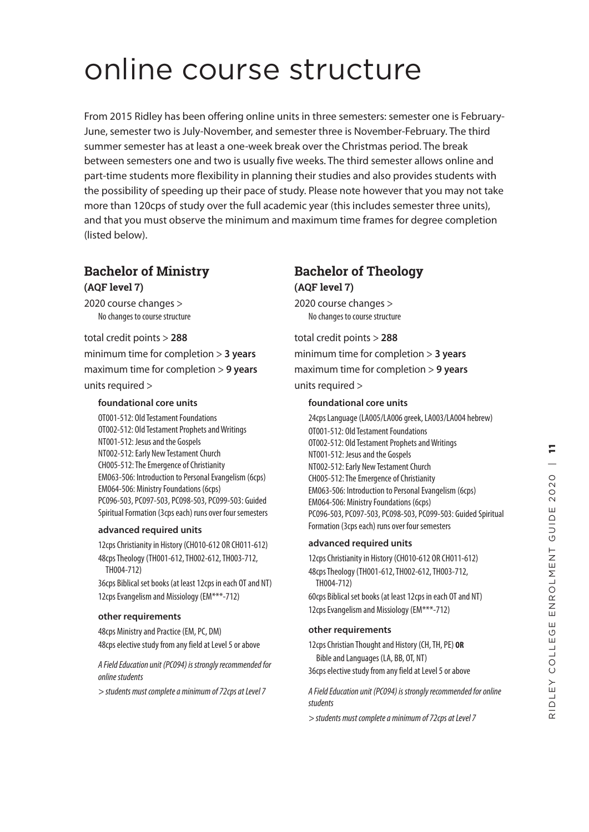# online course structure

From 2015 Ridley has been offering online units in three semesters: semester one is February-June, semester two is July-November, and semester three is November-February. The third summer semester has at least a one-week break over the Christmas period. The break between semesters one and two is usually five weeks. The third semester allows online and part-time students more flexibility in planning their studies and also provides students with the possibility of speeding up their pace of study. Please note however that you may not take more than 120cps of study over the full academic year (this includes semester three units), and that you must observe the minimum and maximum time frames for degree completion (listed below).

# **Bachelor of Ministry**

**(AQF level 7)**

2020 course changes > No changes to course structure

total credit points > **288** minimum time for completion > **3 years** maximum time for completion > **9 years** units required >

#### **foundational core units**

OT001-512: Old Testament Foundations OT002-512: Old Testament Prophets and Writings NT001-512: Jesus and the Gospels NT002-512: Early New Testament Church CH005-512: The Emergence of Christianity EM063-506: Introduction to Personal Evangelism (6cps) EM064-506: Ministry Foundations (6cps) PC096-503, PC097-503, PC098-503, PC099-503: Guided Spiritual Formation (3cps each) runs over four semesters

#### **advanced required units**

12cps Christianity in History (CH010-612 OR CH011-612) 48cps Theology (TH001-612, TH002-612, TH003-712, TH004-712)

36cps Biblical set books (at least 12cps in each OT and NT) 12cps Evangelism and Missiology (EM\*\*\*-712)

#### **other requirements**

48cps Ministry and Practice (EM, PC, DM) 48cps elective study from any field at Level 5 or above

*A Field Education unit (PC094) is strongly recommended for online students*

*> students must complete a minimum of 72cps at Level 7*

# **Bachelor of Theology (AQF level 7)**

2020 course changes > No changes to course structure

total credit points > **288** minimum time for completion > **3 years** maximum time for completion > **9 years** units required >

### **foundational core units**

24cps Language (LA005/LA006 greek, LA003/LA004 hebrew) OT001-512: Old Testament Foundations OT002-512: Old Testament Prophets and Writings NT001-512: Jesus and the Gospels NT002-512: Early New Testament Church CH005-512: The Emergence of Christianity EM063-506: Introduction to Personal Evangelism (6cps) EM064-506: Ministry Foundations (6cps) PC096-503, PC097-503, PC098-503, PC099-503: Guided Spiritual Formation (3cps each) runs over four semesters

#### **advanced required units**

12cps Christianity in History (CH010-612 OR CH011-612) 48cps Theology (TH001-612, TH002-612, TH003-712, TH004-712) 60cps Biblical set books (at least 12cps in each OT and NT) 12cps Evangelism and Missiology (EM\*\*\*-712)

#### **other requirements**

12cps Christian Thought and History (CH, TH, PE) **OR** Bible and Languages (LA, BB, OT, NT)

36cps elective study from any field at Level 5 or above

*A Field Education unit (PC094) is strongly recommended for online students*

*> students must complete a minimum of 72cps at Level 7*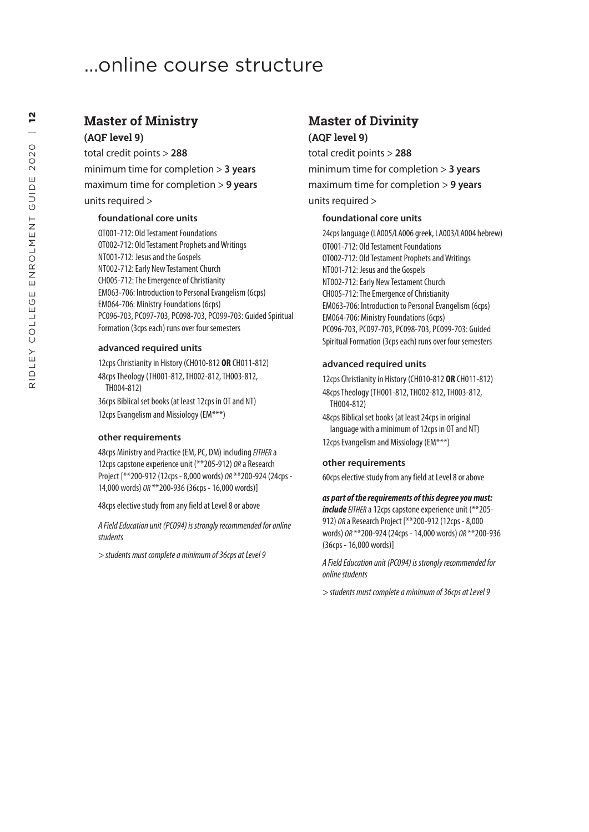# ...online course structure

## **Master of Ministry (AQF level 9)**

total credit points > **288** minimum time for completion > **3 years** maximum time for completion > **9 years** units required >

#### **foundational core units**

OT001-712: Old Testament Foundations OT002-712: Old Testament Prophets and Writings NT001-712: Jesus and the Gospels NT002-712: Early New Testament Church CH005-712: The Emergence of Christianity EM063-706: Introduction to Personal Evangelism (6cps) EM064-706: Ministry Foundations (6cps) PC096-703, PC097-703, PC098-703, PC099-703: Guided Spiritual Formation (3cps each) runs over four semesters

#### **advanced required units**

12cps Christianity in History (CH010-812 **OR** CH011-812) 48cps Theology (TH001-812, TH002-812, TH003-812, TH004-812)

36cps Biblical set books (at least 12cps in OT and NT) 12cps Evangelism and Missiology (EM\*\*\*)

#### **other requirements**

48cps Ministry and Practice (EM, PC, DM) including *EITHER* a 12cps capstone experience unit (\*\*205-912) *OR* a Research Project [\*\*200-912 (12cps - 8,000 words) *OR* \*\*200-924 (24cps - 14,000 words) *OR* \*\*200-936 (36cps - 16,000 words)]

48cps elective study from any field at Level 8 or above

*A Field Education unit (PC094) is strongly recommended for online students*

*> students must complete a minimum of 36cps at Level 9*

## **Master of Divinity (AQF level 9)**

total credit points > **288** minimum time for completion > **3 years** maximum time for completion > **9 years** units required >

#### **foundational core units**

24cps language (LA005/LA006 greek, LA003/LA004 hebrew) OT001-712: Old Testament Foundations OT002-712: Old Testament Prophets and Writings NT001-712: Jesus and the Gospels NT002-712: Early New Testament Church CH005-712: The Emergence of Christianity EM063-706: Introduction to Personal Evangelism (6cps) EM064-706: Ministry Foundations (6cps) PC096-703, PC097-703, PC098-703, PC099-703: Guided Spiritual Formation (3cps each) runs over four semesters

#### **advanced required units**

12cps Christianity in History (CH010-812 **OR** CH011-812) 48cps Theology (TH001-812, TH002-812, TH003-812, TH004-812) 48cps Biblical set books (at least 24cps in original language with a minimum of 12cps in OT and NT)

12cps Evangelism and Missiology (EM\*\*\*)

#### **other requirements**

60cps elective study from any field at Level 8 or above

#### *as part of the requirements of this degree you must:*

*includeEITHER* a 12cps capstone experience unit (\*\*205- 912) *OR* a Research Project [\*\*200-912 (12cps - 8,000 words) *OR* \*\*200-924 (24cps - 14,000 words) *OR* \*\*200-936 (36cps - 16,000 words)]

*A Field Education unit (PC094) is strongly recommended for online students* 

*> students must complete a minimum of 36cps at Level 9*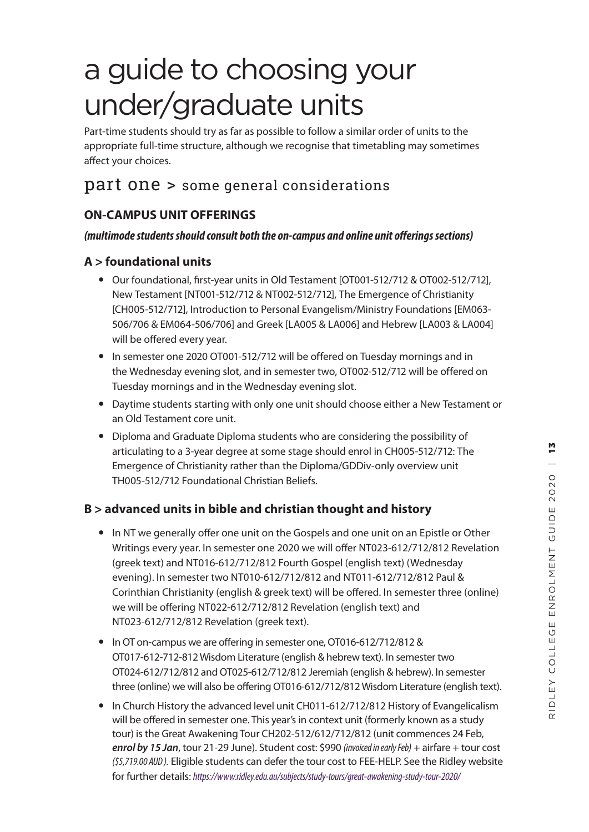Part-time students should try as far as possible to follow a similar order of units to the appropriate full-time structure, although we recognise that timetabling may sometimes affect your choices.

# part one > some general considerations

# **ON-CAMPUS UNIT OFFERINGS**

## *(multimode students should consult both the on-campus and online unit offerings sections)*

# **A > foundational units**

- Our foundational, first-year units in Old Testament [OT001-512/712 & OT002-512/712], New Testament [NT001-512/712 & NT002-512/712], The Emergence of Christianity [CH005-512/712], Introduction to Personal Evangelism/Ministry Foundations [EM063- 506/706 & EM064-506/706] and Greek [LA005 & LA006] and Hebrew [LA003 & LA004] will be offered every year.
- In semester one 2020 OT001-512/712 will be offered on Tuesday mornings and in the Wednesday evening slot, and in semester two, OT002-512/712 will be offered on Tuesday mornings and in the Wednesday evening slot.
- Daytime students starting with only one unit should choose either a New Testament or an Old Testament core unit.
- Diploma and Graduate Diploma students who are considering the possibility of articulating to a 3-year degree at some stage should enrol in CH005-512/712: The Emergence of Christianity rather than the Diploma/GDDiv-only overview unit TH005-512/712 Foundational Christian Beliefs.

# **B > advanced units in bible and christian thought and history**

- In NT we generally offer one unit on the Gospels and one unit on an Epistle or Other Writings every year. In semester one 2020 we will offer NT023-612/712/812 Revelation (greek text) and NT016-612/712/812 Fourth Gospel (english text) (Wednesday evening). In semester two NT010-612/712/812 and NT011-612/712/812 Paul & Corinthian Christianity (english & greek text) will be offered. In semester three (online) we will be offering NT022-612/712/812 Revelation (english text) and NT023-612/712/812 Revelation (greek text).
- In OT on-campus we are offering in semester one, OT016-612/712/812 & OT017-612-712-812 Wisdom Literature (english & hebrew text). In semester two OT024-612/712/812 and OT025-612/712/812 Jeremiah (english & hebrew). In semester three (online) we will also be offering OT016-612/712/812 Wisdom Literature (english text).
- In Church History the advanced level unit CH011-612/712/812 History of Evangelicalism will be offered in semester one. This year's in context unit (formerly known as a study tour) is the Great Awakening Tour CH202-512/612/712/812 (unit commences 24 Feb, *enrol by 15 Jan*, tour 21-29 June). Student cost: \$990 *(invoiced in early Feb)* + airfare + tour cost *(\$5,719.00 AUD ).* Eligible students can defer the tour cost to FEE-HELP. See the Ridley website for further details: *https://www.ridley.edu.au/subjects/study-tours/great-awakening-study-tour-2020/*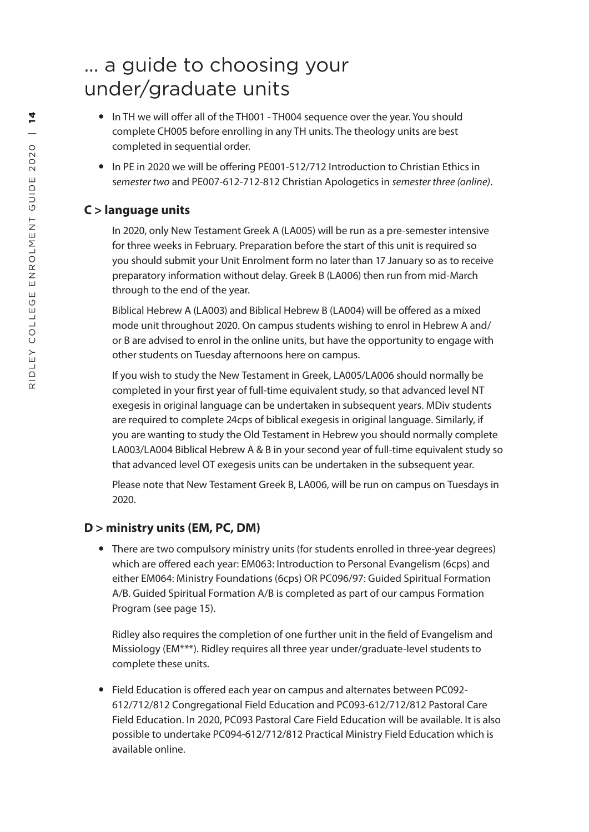- In TH we will offer all of the TH001 TH004 sequence over the year. You should complete CH005 before enrolling in any TH units. The theology units are best completed in sequential order.
- In PE in 2020 we will be offering PE001-512/712 Introduction to Christian Ethics in s*emester two* and PE007-612-712-812 Christian Apologetics in *semester three (online)* .

# **C > language units**

In 2020, only New Testament Greek A (LA005) will be run as a pre-semester intensive for three weeks in February. Preparation before the start of this unit is required so you should submit your Unit Enrolment form no later than 17 January so as to receive preparatory information without delay. Greek B (LA006) then run from mid-March through to the end of the year.

Biblical Hebrew A (LA003) and Biblical Hebrew B (LA004) will be offered as a mixed mode unit throughout 2020. On campus students wishing to enrol in Hebrew A and/ or B are advised to enrol in the online units, but have the opportunity to engage with other students on Tuesday afternoons here on campus.

If you wish to study the New Testament in Greek, LA005/LA006 should normally be completed in your first year of full-time equivalent study, so that advanced level NT exegesis in original language can be undertaken in subsequent years. MDiv students are required to complete 24cps of biblical exegesis in original language. Similarly, if you are wanting to study the Old Testament in Hebrew you should normally complete LA003/LA004 Biblical Hebrew A & B in your second year of full-time equivalent study so that advanced level OT exegesis units can be undertaken in the subsequent year.

Please note that New Testament Greek B, LA006, will be run on campus on Tuesdays in 2020.

# **D > ministry units (EM, PC, DM)**

• There are two compulsory ministry units (for students enrolled in three-year degrees) which are offered each year: EM063: Introduction to Personal Evangelism (6cps) and either EM064: Ministry Foundations (6cps) OR PC096/97: Guided Spiritual Formation A/B. Guided Spiritual Formation A/B is completed as part of our campus Formation Program (see page 15).

Ridley also requires the completion of one further unit in the field of Evangelism and Missiology (EM\*\*\*). Ridley requires all three year under/graduate-level students to complete these units.

 Field Education is offered each year on campus and alternates between PC092- 612/712/812 Congregational Field Education and PC093-612/712/812 Pastoral Care Field Education. In 2020, PC093 Pastoral Care Field Education will be available. It is also possible to undertake PC094-612/712/812 Practical Ministry Field Education which is available online.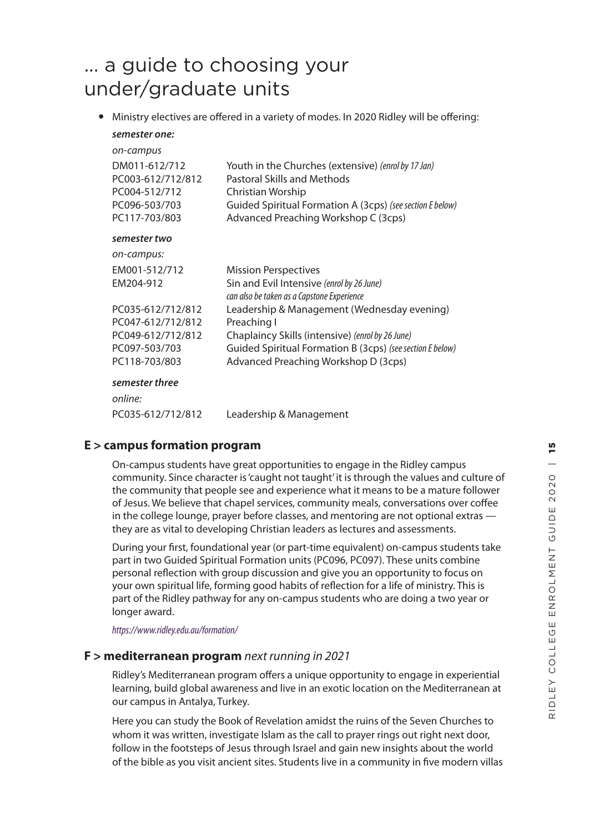Ministry electives are offered in a variety of modes. In 2020 Ridley will be offering: *semester one:*

| on-campus<br>DM011-612/712<br>PC003-612/712/812<br>PC004-512/712<br>PC096-503/703<br>PC117-703/803 | Youth in the Churches (extensive) (enrol by 17 Jan)<br>Pastoral Skills and Methods<br>Christian Worship<br>Guided Spiritual Formation A (3cps) (see section E below)<br>Advanced Preaching Workshop C (3cps) |
|----------------------------------------------------------------------------------------------------|--------------------------------------------------------------------------------------------------------------------------------------------------------------------------------------------------------------|
| semester two                                                                                       |                                                                                                                                                                                                              |
| on-campus:                                                                                         |                                                                                                                                                                                                              |
| EM001-512/712                                                                                      | <b>Mission Perspectives</b>                                                                                                                                                                                  |
| EM204-912                                                                                          | Sin and Evil Intensive (enrol by 26 June)<br>can also be taken as a Capstone Experience                                                                                                                      |
| PC035-612/712/812                                                                                  | Leadership & Management (Wednesday evening)                                                                                                                                                                  |
| PC047-612/712/812                                                                                  | Preaching I                                                                                                                                                                                                  |
| PC049-612/712/812                                                                                  | Chaplaincy Skills (intensive) (enrol by 26 June)                                                                                                                                                             |
| PC097-503/703                                                                                      | Guided Spiritual Formation B (3cps) (see section E below)                                                                                                                                                    |
| PC118-703/803                                                                                      | Advanced Preaching Workshop D (3cps)                                                                                                                                                                         |
| semester three                                                                                     |                                                                                                                                                                                                              |
| online:                                                                                            |                                                                                                                                                                                                              |

## **E > campus formation program**

On-campus students have great opportunities to engage in the Ridley campus community. Since character is 'caught not taught' it is through the values and culture of the community that people see and experience what it means to be a mature follower of Jesus. We believe that chapel services, community meals, conversations over coffee in the college lounge, prayer before classes, and mentoring are not optional extras they are as vital to developing Christian leaders as lectures and assessments.

During your first, foundational year (or part-time equivalent) on-campus students take part in two Guided Spiritual Formation units (PC096, PC097). These units combine personal reflection with group discussion and give you an opportunity to focus on your own spiritual life, forming good habits of reflection for a life of ministry. This is part of the Ridley pathway for any on-campus students who are doing a two year or longer award.

*https://www.ridley.edu.au/formation/*

### **F > mediterranean program** *next running in 2021*

PC035-612/712/812 Leadership & Management

Ridley's Mediterranean program offers a unique opportunity to engage in experiential learning, build global awareness and live in an exotic location on the Mediterranean at our campus in Antalya, Turkey.

Here you can study the Book of Revelation amidst the ruins of the Seven Churches to whom it was written, investigate Islam as the call to prayer rings out right next door, follow in the footsteps of Jesus through Israel and gain new insights about the world of the bible as you visit ancient sites. Students live in a community in five modern villas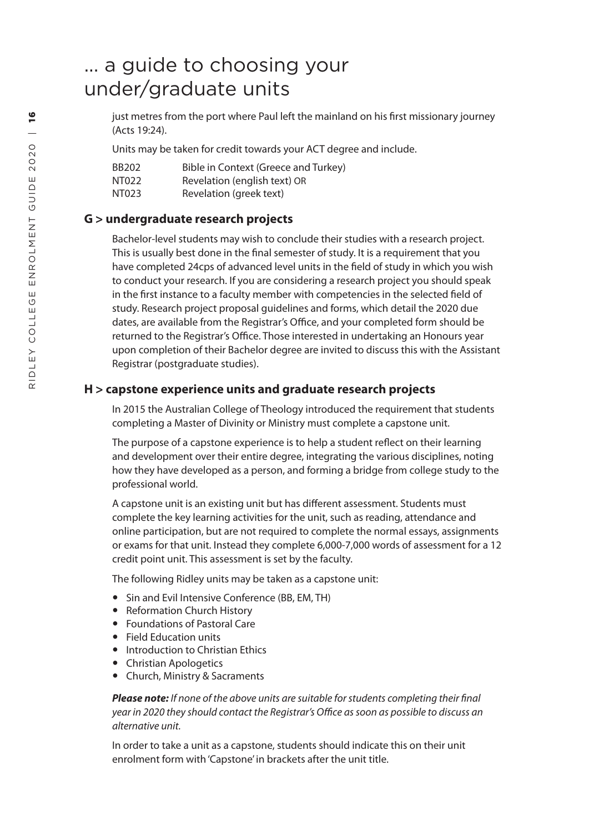just metres from the port where Paul left the mainland on his first missionary journey (Acts 19:24).

Units may be taken for credit towards your ACT degree and include.

| BB202 | Bible in Context (Greece and Turkey) |
|-------|--------------------------------------|
| NT022 | Revelation (english text) OR         |
| NT023 | Revelation (greek text)              |

# **G > undergraduate research projects**

Bachelor-level students may wish to conclude their studies with a research project. This is usually best done in the final semester of study. It is a requirement that you have completed 24cps of advanced level units in the field of study in which you wish to conduct your research. If you are considering a research project you should speak in the first instance to a faculty member with competencies in the selected field of study. Research project proposal guidelines and forms, which detail the 2020 due dates, are available from the Registrar's Office, and your completed form should be returned to the Registrar's Office. Those interested in undertaking an Honours year upon completion of their Bachelor degree are invited to discuss this with the Assistant Registrar (postgraduate studies).

# **H > capstone experience units and graduate research projects**

In 2015 the Australian College of Theology introduced the requirement that students completing a Master of Divinity or Ministry must complete a capstone unit.

The purpose of a capstone experience is to help a student reflect on their learning and development over their entire degree, integrating the various disciplines, noting how they have developed as a person, and forming a bridge from college study to the professional world.

A capstone unit is an existing unit but has different assessment. Students must complete the key learning activities for the unit, such as reading, attendance and online participation, but are not required to complete the normal essays, assignments or exams for that unit. Instead they complete 6,000-7,000 words of assessment for a 12 credit point unit. This assessment is set by the faculty.

The following Ridley units may be taken as a capstone unit:

- Sin and Evil Intensive Conference (BB, EM, TH)
- Reformation Church History
- Foundations of Pastoral Care
- Field Education units
- Introduction to Christian Ethics
- Christian Apologetics
- Church, Ministry & Sacraments

*Please note: If none of the above units are suitable for students completing their final year in 2020 they should contact the Registrar's Office as soon as possible to discuss an alternative unit.*

In order to take a unit as a capstone, students should indicate this on their unit enrolment form with 'Capstone' in brackets after the unit title.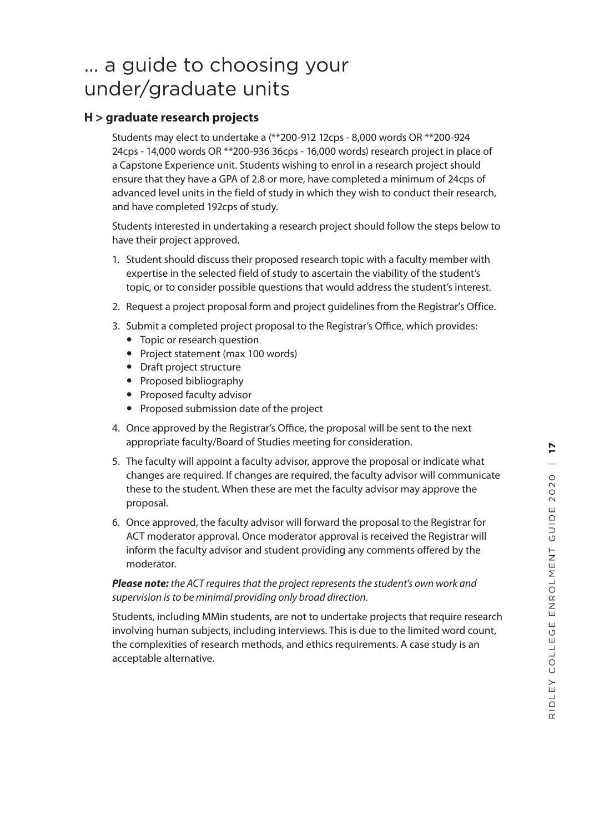## **H > graduate research projects**

Students may elect to undertake a (\*\*200-912 12cps - 8,000 words OR \*\*200-924 24cps - 14,000 words OR \*\*200-936 36cps - 16,000 words) research project in place of a Capstone Experience unit. Students wishing to enrol in a research project should ensure that they have a GPA of 2.8 or more, have completed a minimum of 24cps of advanced level units in the field of study in which they wish to conduct their research, and have completed 192cps of study.

Students interested in undertaking a research project should follow the steps below to have their project approved.

- 1. Student should discuss their proposed research topic with a faculty member with expertise in the selected field of study to ascertain the viability of the student's topic, or to consider possible questions that would address the student's interest.
- 2. Request a project proposal form and project guidelines from the Registrar's Office.
- 3. Submit a completed project proposal to the Registrar's Office, which provides:
	- Topic or research question
	- Project statement (max 100 words)
	- Draft project structure
	- Proposed bibliography
	- Proposed faculty advisor
	- Proposed submission date of the project
- 4. Once approved by the Registrar's Office, the proposal will be sent to the next appropriate faculty/Board of Studies meeting for consideration.
- 5. The faculty will appoint a faculty advisor, approve the proposal or indicate what changes are required. If changes are required, the faculty advisor will communicate these to the student. When these are met the faculty advisor may approve the proposal.
- 6. Once approved, the faculty advisor will forward the proposal to the Registrar for ACT moderator approval. Once moderator approval is received the Registrar will inform the faculty advisor and student providing any comments offered by the moderator.

#### *Please note: the ACT requires that the project represents the student's own work and supervision is to be minimal providing only broad direction.*

Students, including MMin students, are not to undertake projects that require research involving human subjects, including interviews. This is due to the limited word count, the complexities of research methods, and ethics requirements. A case study is an acceptable alternative.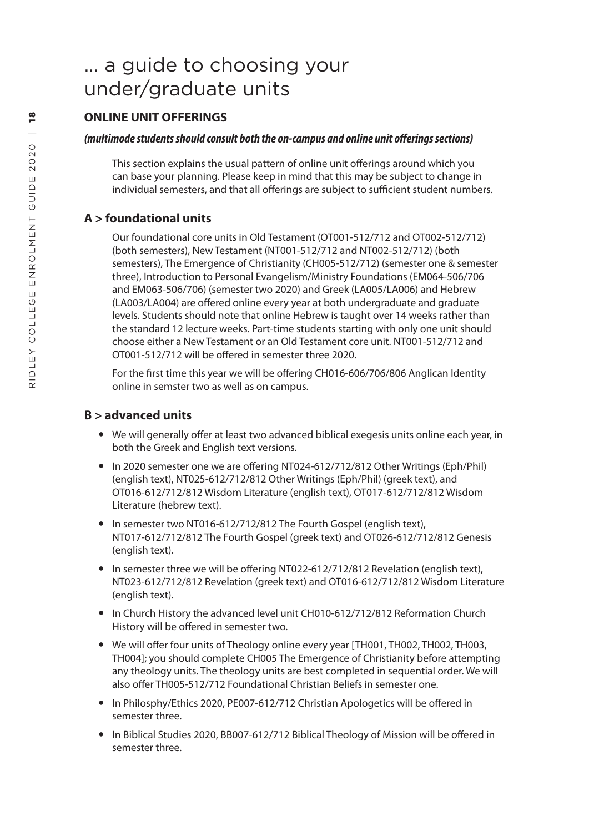# **ONLINE UNIT OFFERINGS**

### *(multimode students should consult both the on-campus and online unit offerings sections)*

This section explains the usual pattern of online unit offerings around which you can base your planning. Please keep in mind that this may be subject to change in individual semesters, and that all offerings are subject to sufficient student numbers.

# **A > foundational units**

Our foundational core units in Old Testament (OT001-512/712 and OT002-512/712) (both semesters), New Testament (NT001-512/712 and NT002-512/712) (both semesters), The Emergence of Christianity (CH005-512/712) (semester one & semester three), Introduction to Personal Evangelism/Ministry Foundations (EM064-506/706 and EM063-506/706) (semester two 2020) and Greek (LA005/LA006) and Hebrew (LA003/LA004) are offered online every year at both undergraduate and graduate levels. Students should note that online Hebrew is taught over 14 weeks rather than the standard 12 lecture weeks. Part-time students starting with only one unit should choose either a New Testament or an Old Testament core unit. NT001-512/712 and OT001-512/712 will be offered in semester three 2020.

For the first time this year we will be offering CH016-606/706/806 Anglican Identity online in semster two as well as on campus.

# **B > advanced units**

- We will generally offer at least two advanced biblical exegesis units online each year, in both the Greek and English text versions.
- In 2020 semester one we are offering NT024-612/712/812 Other Writings (Eph/Phil) (english text), NT025-612/712/812 Other Writings (Eph/Phil) (greek text), and OT016-612/712/812 Wisdom Literature (english text), OT017-612/712/812 Wisdom Literature (hebrew text).
- In semester two NT016-612/712/812 The Fourth Gospel (english text), NT017-612/712/812 The Fourth Gospel (greek text) and OT026-612/712/812 Genesis (english text).
- In semester three we will be offering NT022-612/712/812 Revelation (english text), NT023-612/712/812 Revelation (greek text) and OT016-612/712/812 Wisdom Literature (english text).
- In Church History the advanced level unit CH010-612/712/812 Reformation Church History will be offered in semester two.
- We will offer four units of Theology online every year [TH001, TH002, TH002, TH003, TH004]; you should complete CH005 The Emergence of Christianity before attempting any theology units. The theology units are best completed in sequential order. We will also offer TH005-512/712 Foundational Christian Beliefs in semester one.
- In Philosphy/Ethics 2020, PE007-612/712 Christian Apologetics will be offered in semester three.
- In Biblical Studies 2020, BB007-612/712 Biblical Theology of Mission will be offered in semester three.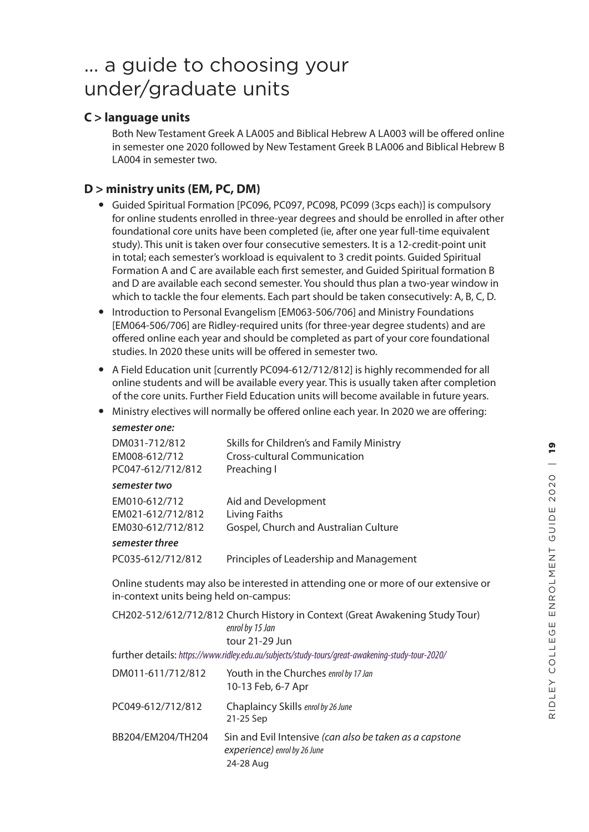# **C > language units**

Both New Testament Greek A LA005 and Biblical Hebrew A LA003 will be offered online in semester one 2020 followed by New Testament Greek B LA006 and Biblical Hebrew B LA004 in semester two.

# **D > ministry units (EM, PC, DM)**

- Guided Spiritual Formation [PC096, PC097, PC098, PC099 (3cps each)] is compulsory for online students enrolled in three-year degrees and should be enrolled in after other foundational core units have been completed (ie, after one year full-time equivalent study). This unit is taken over four consecutive semesters. It is a 12-credit-point unit in total; each semester's workload is equivalent to 3 credit points. Guided Spiritual Formation A and C are available each first semester, and Guided Spiritual formation B and D are available each second semester. You should thus plan a two-year window in which to tackle the four elements. Each part should be taken consecutively: A, B, C, D.
- Introduction to Personal Evangelism [EM063-506/706] and Ministry Foundations [EM064-506/706] are Ridley-required units (for three-year degree students) and are offered online each year and should be completed as part of your core foundational studies. In 2020 these units will be offered in semester two.
- A Field Education unit [currently PC094-612/712/812] is highly recommended for all online students and will be available every year. This is usually taken after completion of the core units. Further Field Education units will become available in future years.
- Ministry electives will normally be offered online each year. In 2020 we are offering:

| DM031-712/812<br>EM008-612/712<br>PC047-612/712/812 | Skills for Children's and Family Ministry<br>Cross-cultural Communication<br>Preaching I |
|-----------------------------------------------------|------------------------------------------------------------------------------------------|
| semester two                                        |                                                                                          |
| EM010-612/712                                       | Aid and Development                                                                      |
| EM021-612/712/812                                   | Living Faiths                                                                            |
| EM030-612/712/812                                   | Gospel, Church and Australian Culture                                                    |
| semester three                                      |                                                                                          |
| PC035-612/712/812                                   | Principles of Leadership and Management                                                  |

Online students may also be interested in attending one or more of our extensive or in-context units being held on-campus:

|                   | CH202-512/612/712/812 Church History in Context (Great Awakening Study Tour)<br>enrol by 15 Jan<br>tour 21-29 Jun |
|-------------------|-------------------------------------------------------------------------------------------------------------------|
|                   | further details: https://www.ridley.edu.au/subjects/study-tours/great-awakening-study-tour-2020/                  |
| DM011-611/712/812 | Youth in the Churches enrol by 17 Jan<br>10-13 Feb, 6-7 Apr                                                       |
| PC049-612/712/812 | Chaplaincy Skills enrol by 26 June<br>21-25 Sep                                                                   |
| BB204/EM204/TH204 | Sin and Evil Intensive (can also be taken as a capstone<br>experience) enrol by 26 June<br>24-28 Aug              |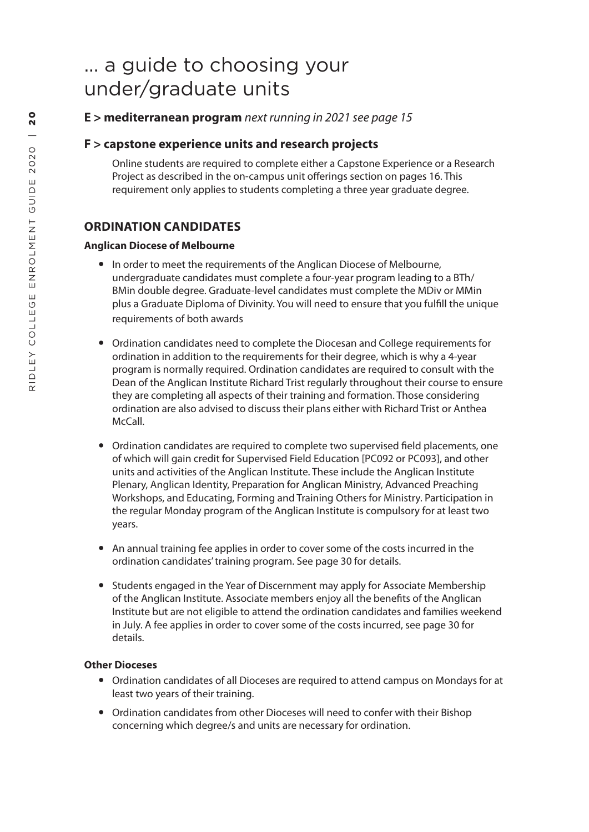**E > mediterranean program** *next running in 2021 see page 15*

## **F > capstone experience units and research projects**

Online students are required to complete either a Capstone Experience or a Research Project as described in the on-campus unit offerings section on pages 16. This requirement only applies to students completing a three year graduate degree.

# **ORDINATION CANDIDATES**

#### **Anglican Diocese of Melbourne**

- In order to meet the requirements of the Anglican Diocese of Melbourne, undergraduate candidates must complete a four-year program leading to a BTh/ BMin double degree. Graduate-level candidates must complete the MDiv or MMin plus a Graduate Diploma of Divinity. You will need to ensure that you fulfill the unique requirements of both awards
- Ordination candidates need to complete the Diocesan and College requirements for ordination in addition to the requirements for their degree, which is why a 4-year program is normally required. Ordination candidates are required to consult with the Dean of the Anglican Institute Richard Trist regularly throughout their course to ensure they are completing all aspects of their training and formation. Those considering ordination are also advised to discuss their plans either with Richard Trist or Anthea McCall.
- Ordination candidates are required to complete two supervised field placements, one of which will gain credit for Supervised Field Education [PC092 or PC093], and other units and activities of the Anglican Institute. These include the Anglican Institute Plenary, Anglican Identity, Preparation for Anglican Ministry, Advanced Preaching Workshops, and Educating, Forming and Training Others for Ministry. Participation in the regular Monday program of the Anglican Institute is compulsory for at least two years.
- An annual training fee applies in order to cover some of the costs incurred in the ordination candidates' training program. See page 30 for details.
- Students engaged in the Year of Discernment may apply for Associate Membership of the Anglican Institute. Associate members enjoy all the benefits of the Anglican Institute but are not eligible to attend the ordination candidates and families weekend in July. A fee applies in order to cover some of the costs incurred, see page 30 for details.

#### **Other Dioceses**

- Ordination candidates of all Dioceses are required to attend campus on Mondays for at least two years of their training.
- Ordination candidates from other Dioceses will need to confer with their Bishop concerning which degree/s and units are necessary for ordination.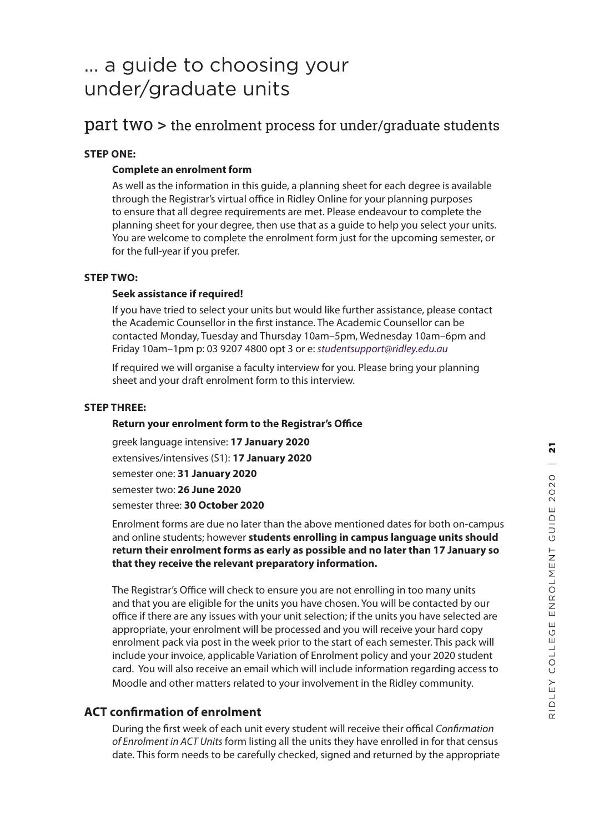# part two > the enrolment process for under/graduate students

## **STEP ONE:**

### **Complete an enrolment form**

As well as the information in this guide, a planning sheet for each degree is available through the Registrar's virtual office in Ridley Online for your planning purposes to ensure that all degree requirements are met. Please endeavour to complete the planning sheet for your degree, then use that as a guide to help you select your units. You are welcome to complete the enrolment form just for the upcoming semester, or for the full-year if you prefer.

### **STEP TWO:**

### **Seek assistance if required!**

If you have tried to select your units but would like further assistance, please contact the Academic Counsellor in the first instance. The Academic Counsellor can be contacted Monday, Tuesday and Thursday 10am–5pm, Wednesday 10am–6pm and Friday 10am–1pm p: 03 9207 4800 opt 3 or e: *studentsupport@ridley.edu.au*

If required we will organise a faculty interview for you. Please bring your planning sheet and your draft enrolment form to this interview.

#### **STEP THREE:**

#### **Return your enrolment form to the Registrar's Office**

greek language intensive: **17 January 2020**  extensives/intensives (S1): **17 January 2020**  semester one: **31 January 2020** semester two: **26 June 2020** semester three: **30 October 2020**

Enrolment forms are due no later than the above mentioned dates for both on-campus and online students; however **students enrolling in campus language units should return their enrolment forms as early as possible and no later than 17 January so that they receive the relevant preparatory information.**

The Registrar's Office will check to ensure you are not enrolling in too many units and that you are eligible for the units you have chosen. You will be contacted by our office if there are any issues with your unit selection; if the units you have selected are appropriate, your enrolment will be processed and you will receive your hard copy enrolment pack via post in the week prior to the start of each semester. This pack will include your invoice, applicable Variation of Enrolment policy and your 2020 student card. You will also receive an email which will include information regarding access to Moodle and other matters related to your involvement in the Ridley community.

## **ACT confirmation of enrolment**

During the first week of each unit every student will receive their offical *Confirmation of Enrolment in ACT Units* form listing all the units they have enrolled in for that census date. This form needs to be carefully checked, signed and returned by the appropriate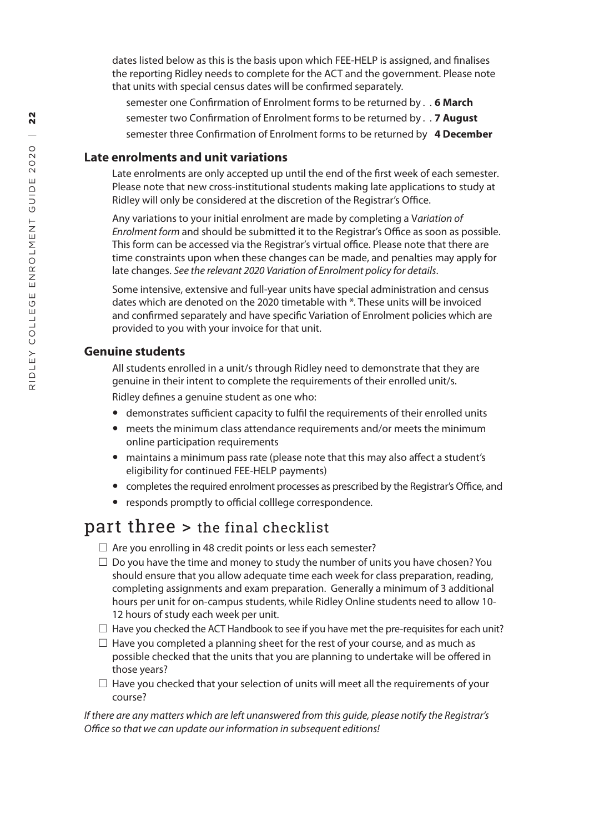date s listed below as this is the basis upon which FEE-HELP is assigned , and finalises the reporting Ridley needs to complete for the ACT and the government. Please note that units with special census dates will be confirmed separately.

semester one Confirmation of Enrolment forms to be returned by . . **6 March** semester two Confirmation of Enrolment forms to be returned by . . **7 August** semester three Confirmation of Enrolment forms to be returned by **4 December**

### **Late enrolments and unit variations**

Late enrolments are only accepted up until the end of the first week of each semester . Please note that new cross-institutional students making late applications to study at Ridley will only be considered at the discretion of the Registrar's Office.

Any variations to your initial enrolment are made by completing a V*ariation of Enrolment form* and should be submitted it to the Registrar's Office as soon as possible. This form can be accessed via the Registrar's virtual office. Please note that there are time constraints upon when these changes can be made, and penalties may apply for late changes. *See the relevant 2020 Variation of Enrolment policy for details*.

Some intensive, extensive and full-year units have special administration and census dates which are denoted on the 2020 timetable with \*. These units will be invoiced and confirmed separately and have specific Variation of Enrolment policies which are provided to you with your invoice for that unit.

### **Genuine students**

All students enrolled in a unit/s through Ridley need to demonstrate that they are genuine in their intent to complete the requirements of their enrolled unit/s. Ridley defines a genuine student as one who:

- demonstrates sufficient capacity to fulfil the requirements of their enrolled units
- meets the minimum class attendance requirements and/or meets the minimum online participation requirements
- maintains a minimum pass rate (please note that this may also affect a student's eligibility for continued FEE-HELP payments)
- completes the required enrolment processes as prescribed by the Registrar's Office, and
- responds promptly to official colllege correspondence.

# part three > the final checklist

- $\Box$  Are you enrolling in 48 credit points or less each semester?
- $\Box$  Do you have the time and money to study the number of units you have chosen? You should ensure that you allow adequate time each week for class preparation, reading, completing assignments and exam preparation. Generally a minimum of 3 additional hours per unit for on-campus students, while Ridley Online students need to allow 10- 12 hours of study each week per unit.
- $\Box$  Have you checked the ACT Handbook to see if you have met the pre-requisites for each unit?
- $\Box$  Have you completed a planning sheet for the rest of your course, and as much as possible checked that the units that you are planning to undertake will be offered in those years?
- $\Box$  Have you checked that your selection of units will meet all the requirements of your course?

*If there are any matters which are left unanswered from this guide, please notify the Registrar's Office so that we can update our information in subsequent editions!*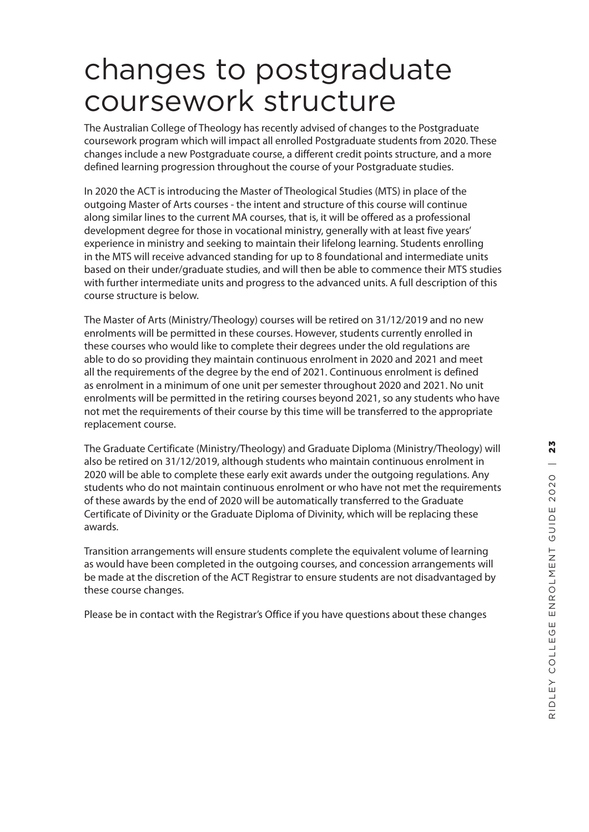# changes to postgraduate coursework structure

The Australian College of Theology has recently advised of changes to the Postgraduate coursework program which will impact all enrolled Postgraduate students from 2020. These changes include a new Postgraduate course, a different credit points structure, and a more defined learning progression throughout the course of your Postgraduate studies.

In 2020 the ACT is introducing the Master of Theological Studies (MTS) in place of the outgoing Master of Arts courses - the intent and structure of this course will continue along similar lines to the current MA courses, that is, it will be offered as a professional development degree for those in vocational ministry, generally with at least five years' experience in ministry and seeking to maintain their lifelong learning. Students enrolling in the MTS will receive advanced standing for up to 8 foundational and intermediate units based on their under/graduate studies, and will then be able to commence their MTS studies with further intermediate units and progress to the advanced units. A full description of this course structure is below.

The Master of Arts (Ministry/Theology) courses will be retired on 31/12/2019 and no new enrolments will be permitted in these courses. However, students currently enrolled in these courses who would like to complete their degrees under the old regulations are able to do so providing they maintain continuous enrolment in 2020 and 2021 and meet all the requirements of the degree by the end of 2021. Continuous enrolment is defined as enrolment in a minimum of one unit per semester throughout 2020 and 2021. No unit enrolments will be permitted in the retiring courses beyond 2021, so any students who have not met the requirements of their course by this time will be transferred to the appropriate replacement course.

The Graduate Certificate (Ministry/Theology) and Graduate Diploma (Ministry/Theology) will also be retired on 31/12/2019, although students who maintain continuous enrolment in 2020 will be able to complete these early exit awards under the outgoing regulations. Any students who do not maintain continuous enrolment or who have not met the requirements of these awards by the end of 2020 will be automatically transferred to the Graduate Certificate of Divinity or the Graduate Diploma of Divinity, which will be replacing these awards.

Transition arrangements will ensure students complete the equivalent volume of learning as would have been completed in the outgoing courses, and concession arrangements will be made at the discretion of the ACT Registrar to ensure students are not disadvantaged by these course changes.

Please be in contact with the Registrar's Office if you have questions about these changes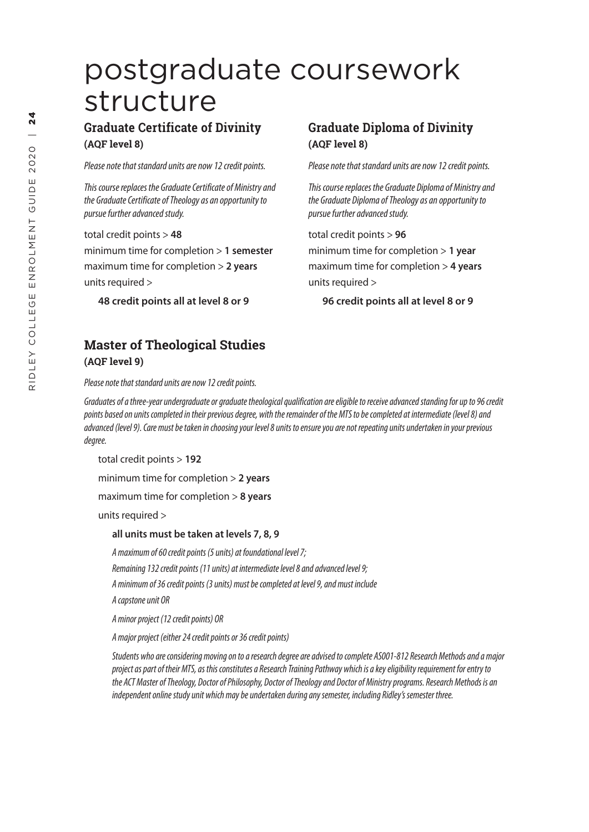# postgraduate coursework structure

# **Graduate Certificate of Divinity (AQF level 8)**

*Please note that standard units are now 12 credit points.*

*This course replaces the Graduate Certificate of Ministry and the Graduate Certificate of Theology as an opportunity to pursue further advanced study.*

total credit points > **48**

minimum time for completion > **1 semester** maximum time for completion > **2 years** units required >

**48 credit points all at level 8 or 9**

# **Master of Theological Studies (AQF level 9)**

*Please note that standard units are now 12 credit points.*

# **Graduate Diploma of Divinity (AQF level 8)**

*Please note that standard units are now 12 credit points.*

*This course replaces the Graduate Diploma of Ministry and the Graduate Diploma of Theology as an opportunity to pursue further advanced study.*

total credit points > **96** minimum time for completion > **1 year** maximum time for completion > **4 years** units required >

**96 credit points all at level 8 or 9**

*Graduates of a three-year undergraduate or graduate theological qualification are eligible to receive advanced standing for up to 96 credit points based on units completed in their previous degree, with the remainder of the MTS to be completed at intermediate (level 8) and advanced (level 9). Care must be taken in choosing your level 8 units to ensure you are not repeating units undertaken in your previous degree.*

total credit points > **192**

minimum time for completion > **2 years**

maximum time for completion > **8 years**

units required >

#### **all units must be taken at levels 7, 8, 9**

*A maximum of 60 credit points (5 units) at foundational level 7; Remaining 132 credit points (11 units) at intermediate level 8 and advanced level 9; A minimum of 36 credit points (3 units) must be completed at level 9, and must include* 

*A capstone unit OR* 

*A minor project (12 credit points) OR*

*A major project (either 24 credit points or 36 credit points)*

*Students who are considering moving on to a research degree are advised to complete AS001-812 Research Methods and a major project as part of their MTS, as this constitutes a Research Training Pathway which is a key eligibility requirement for entry to the ACT Master of Theology, Doctor of Philosophy, Doctor of Theology and Doctor of Ministry programs. Research Methods is an independent online study unit which may be undertaken during any semester, including Ridley's semester three.*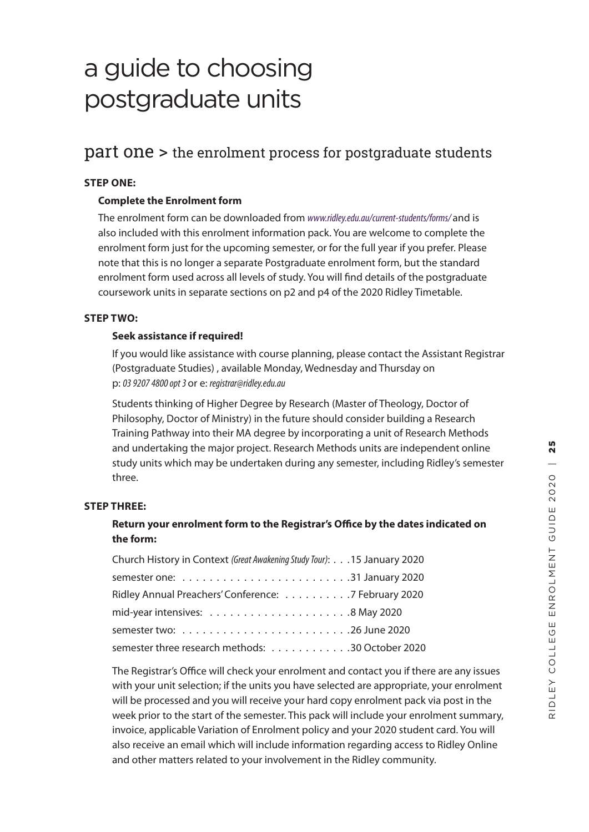# a guide to choosing postgraduate units

# part one > the enrolment process for postgraduate students

### **STEP ONE:**

### **Complete the Enrolment form**

The enrolment form can be downloaded from *www.ridley.edu.au/current-students/forms/* and is also included with this enrolment information pack. You are welcome to complete the enrolment form just for the upcoming semester, or for the full year if you prefer. Please note that this is no longer a separate Postgraduate enrolment form, but the standard enrolment form used across all levels of study. You will find details of the postgraduate coursework units in separate sections on p2 and p4 of the 2020 Ridley Timetable.

### **STEP TWO:**

#### **Seek assistance if required!**

If you would like assistance with course planning, please contact the Assistant Registrar (Postgraduate Studies) , available Monday, Wednesday and Thursday on p: *03 9207 4800 opt 3* or e: *registrar@ridley.edu.au*

Students thinking of Higher Degree by Research (Master of Theology, Doctor of Philosophy, Doctor of Ministry) in the future should consider building a Research Training Pathway into their MA degree by incorporating a unit of Research Methods and undertaking the major project. Research Methods units are independent online study units which may be undertaken during any semester, including Ridley's semester three.

#### **STEP THREE:**

## **Return your enrolment form to the Registrar's Office by the dates indicated on the form:**

| Church History in Context (Great Awakening Study Tour): 15 January 2020 |
|-------------------------------------------------------------------------|
|                                                                         |
| Ridley Annual Preachers' Conference: 7 February 2020                    |
|                                                                         |
|                                                                         |
| semester three research methods: 30 October 2020                        |

The Registrar's Office will check your enrolment and contact you if there are any issues with your unit selection; if the units you have selected are appropriate, your enrolment will be processed and you will receive your hard copy enrolment pack via post in the week prior to the start of the semester. This pack will include your enrolment summary, invoice, applicable Variation of Enrolment policy and your 2020 student card. You will also receive an email which will include information regarding access to Ridley Online and other matters related to your involvement in the Ridley community.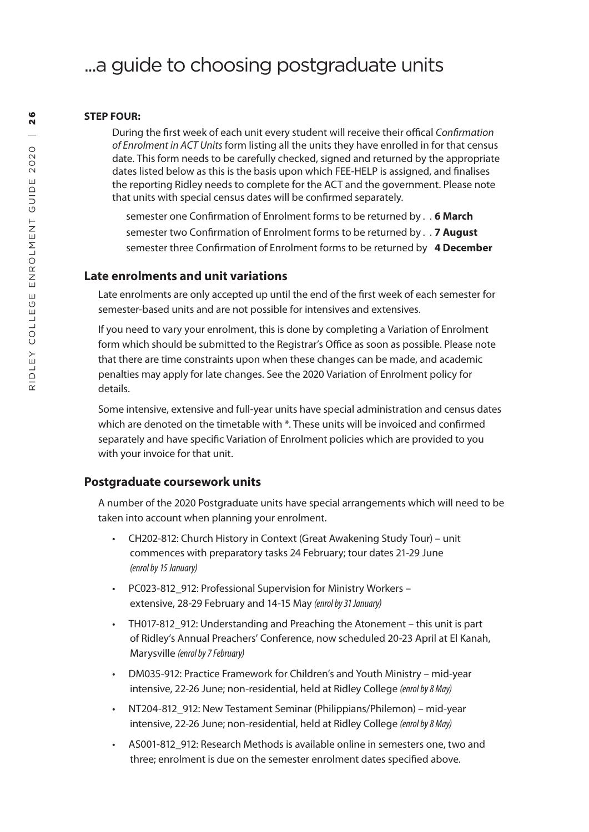# ...a guide to choosing postgraduate units

#### **STEP FOUR:**

During the first week of each unit every student will receive their offical *Confirmation of Enrolment in ACT Units* form listing all the units they have enrolled in for that census date. This form needs to be carefully checked, signed and returned by the appropriate date s listed below as this is the basis upon which FEE-HELP is assigned , and finalises the reporting Ridley needs to complete for the ACT and the government. Please note that units with special census dates will be confirmed separately.

semester one Confirmation of Enrolment forms to be returned by . . **6 March** semester two Confirmation of Enrolment forms to be returned by . . **7 August** semester three Confirmation of Enrolment forms to be returned by **4 December**

### **Late enrolments and unit variations**

Late enrolments are only accepted up until the end of the first week of each semester for semester-based units and are not possible for intensives and extensives.

If you need to vary your enrolment, this is done by completing a Variation of Enrolment form which should be submitted to the Registrar's Office as soon as possible. Please note that there are time constraints upon when these changes can be made, and academic penalties may apply for late changes. See the 2020 Variation of Enrolment policy for details.

Some intensive, extensive and full-year units have special administration and census dates which are denoted on the timetable with \*. These units will be invoiced and confirmed separately and have specific Variation of Enrolment policies which are provided to you with your invoice for that unit.

#### **Postgraduate coursework units**

A number of the 2020 Postgraduate units have special arrangements which will need to be taken into account when planning your enrolment.

- CH202-812: Church History in Context (Great Awakening Study Tour) unit commences with preparatory tasks 24 February; tour dates 21-29 June *(enrol by 15 January)*
- PC023-812\_912: Professional Supervision for Ministry Workers extensive, 28-29 February and 14-15 May *(enrol by 31 January)*
- TH017-812 912: Understanding and Preaching the Atonement this unit is part of Ridley's Annual Preachers' Conference, now scheduled 20-23 April at El Kanah, Marysville *(enrol by 7 February)*
- DM035-912: Practice Framework for Children's and Youth Ministry mid-year intensive, 22-26 June; non-residential, held at Ridley College *(enrol by 8 May)*
- NT204-812\_912: New Testament Seminar (Philippians/Philemon) mid-year intensive, 22-26 June; non-residential, held at Ridley College *(enrol by 8 May)*
- AS001-812 912: Research Methods is available online in semesters one, two and three; enrolment is due on the semester enrolment dates specified above.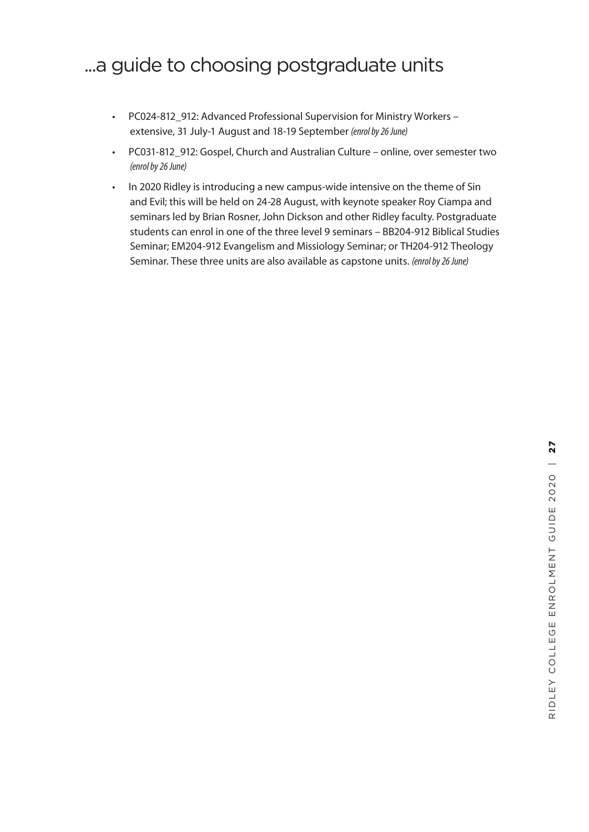# ...a guide to choosing postgraduate units

- PC024-812 912: Advanced Professional Supervision for Ministry Workers extensive, 31 July-1 August and 18-19 September *(enrol by 26 June)*
- PC031-812\_912: Gospel, Church and Australian Culture online, over semester two *(enrol by 26 June)*
- In 2020 Ridley is introducing a new campus-wide intensive on the theme of Sin and Evil; this will be held on 24-28 August, with keynote speaker Roy Ciampa and seminars led by Brian Rosner, John Dickson and other Ridley faculty. Postgraduate students can enrol in one of the three level 9 seminars – BB204-912 Biblical Studies Seminar; EM204-912 Evangelism and Missiology Seminar; or TH204-912 Theology Seminar. These three units are also available as capstone units. *(enrol by 26 June)*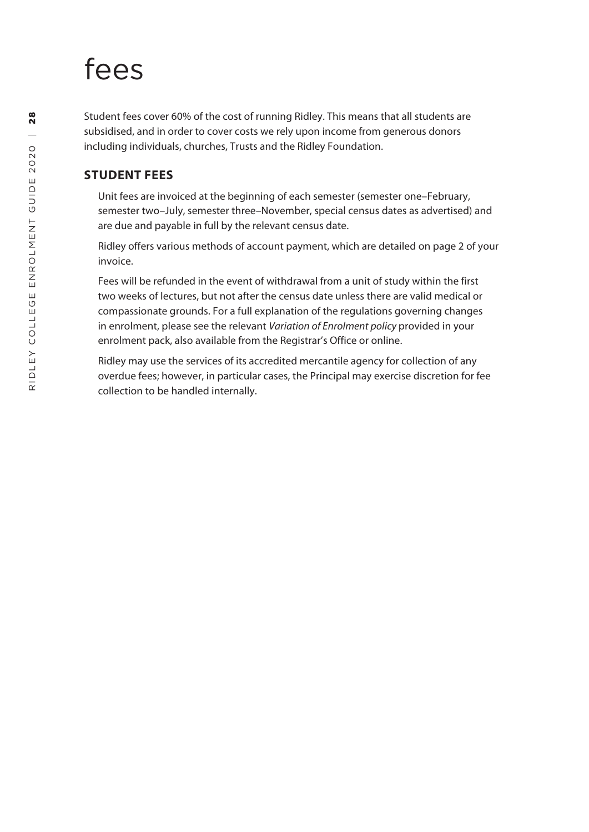# fees

Student fees cover 60% of the cost of running Ridley. This means that all students are subsidised, and in order to cover costs we rely upon income from generous donors including individuals, churches, Trusts and the Ridley Foundation.

# **STUDENT FEES**

Unit fees are invoiced at the beginning of each semester (semester one–February, semester two–July, semester three–November, special census dates as advertised) and are due and payable in full by the relevant census date.

Ridley offers various methods of account payment, which are detailed on page 2 of your invoice.

Fees will be refunded in the event of withdrawal from a unit of study within the first two weeks of lectures, but not after the census date unless there are valid medical or compassionate grounds. For a full explanation of the regulations governing changes in enrolment, please see the relevant *Variation of Enrolment policy* provided in your enrolment pack, also available from the Registrar's Office or online.

Ridley may use the services of its accredited mercantile agency for collection of any overdue fees; however, in particular cases, the Principal may exercise discretion for fee collection to be handled internally.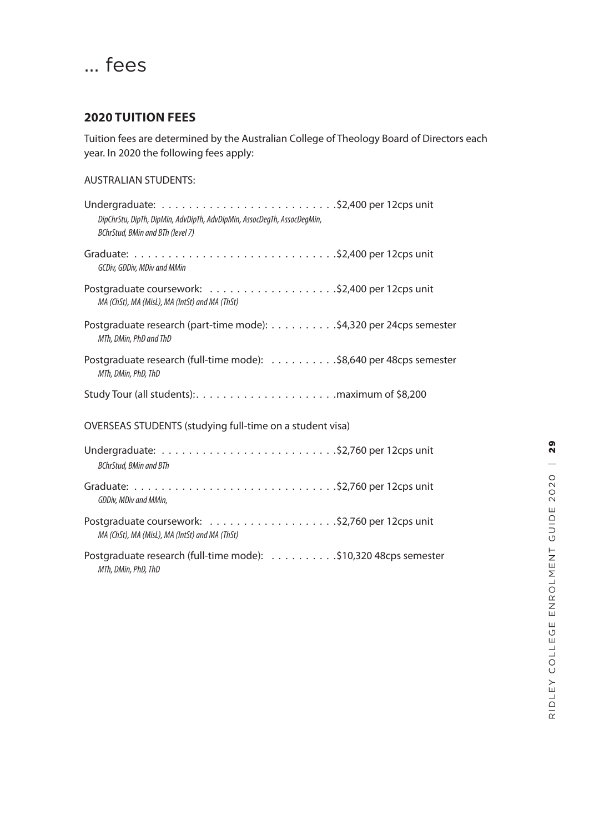# ... fees

## **2020 TUITION FEES**

Tuition fees are determined by the Australian College of Theology Board of Directors each year. In 2020 the following fees apply:

# AUSTRALIAN STUDENTS:

| DipChrStu, DipTh, DipMin, AdvDipTh, AdvDipMin, AssocDegTh, AssocDegMin,<br>BChrStud, BMin and BTh (level 7)                         |  |
|-------------------------------------------------------------------------------------------------------------------------------------|--|
| GCDiv, GDDiv, MDiv and MMin                                                                                                         |  |
| MA (ChSt), MA (MisL), MA (IntSt) and MA (ThSt)                                                                                      |  |
| Postgraduate research (part-time mode): \$4,320 per 24cps semester<br>MTh, DMin, PhD and ThD                                        |  |
| Postgraduate research (full-time mode): \$8,640 per 48cps semester<br>MTh, DMin, PhD, ThD                                           |  |
|                                                                                                                                     |  |
| OVERSEAS STUDENTS (studying full-time on a student visa)                                                                            |  |
| <b>BChrStud, BMin and BTh</b>                                                                                                       |  |
| Graduate: $\ldots \ldots \ldots \ldots \ldots \ldots \ldots \ldots \ldots \ldots$ . \$2,760 per 12cps unit<br>GDDiv, MDiv and MMin, |  |
| MA (ChSt), MA (MisL), MA (IntSt) and MA (ThSt)                                                                                      |  |
| Postgraduate research (full-time mode): \$10,320 48cps semester<br>MTh, DMin, PhD, ThD                                              |  |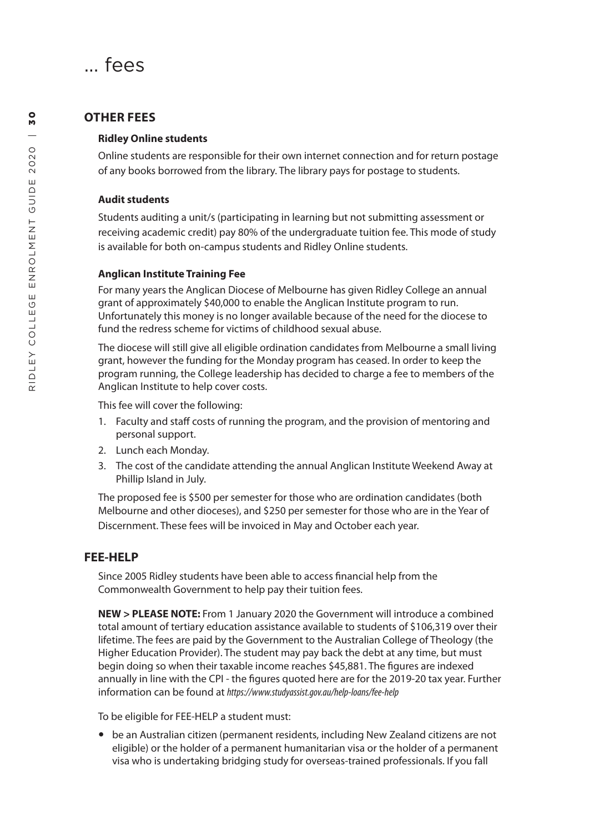

### **OTHER FEES**

#### **Ridley Online students**

Online students are responsible for their own internet connection and for return postage of any books borrowed from the library. The library pays for postage to students.

#### **Audit students**

Students auditing a unit/s (participating in learning but not submitting assessment or receiving academic credit) pay 80% of the undergraduate tuition fee. This mode of study is available for both on-campus students and Ridley Online students.

#### **Anglican Institute Training Fee**

For many years the Anglican Diocese of Melbourne has given Ridley College an annual grant of approximately \$40,000 to enable the Anglican Institute program to run. Unfortunately this money is no longer available because of the need for the diocese to fund the redress scheme for victims of childhood sexual abuse.

The diocese will still give all eligible ordination candidates from Melbourne a small living grant, however the funding for the Monday program has ceased. In order to keep the program running, the College leadership has decided to charge a fee to members of the Anglican Institute to help cover costs.

This fee will cover the following:

- 1. Faculty and staff costs of running the program, and the provision of mentoring and personal support.
- 2. Lunch each Monday.
- 3. The cost of the candidate attending the annual Anglican Institute Weekend Away at Phillip Island in July.

The proposed fee is \$500 per semester for those who are ordination candidates (both Melbourne and other dioceses), and \$250 per semester for those who are in the Year of Discernment. These fees will be invoiced in May and October each year.

## **FEE-HELP**

Since 2005 Ridley students have been able to access financial help from the Commonwealth Government to help pay their tuition fees.

**NEW > PLEASE NOTE:** From 1 January 2020 the Government will introduce a combined total amount of tertiary education assistance available to students of \$106,319 over their lifetime. The fees are paid by the Government to the Australian College of Theology (the Higher Education Provider). The student may pay back the debt at any time, but must begin doing so when their taxable income reaches \$45,881. The figures are indexed annually in line with the CPI - the figures quoted here are for the 2019-20 tax year. Further information can be found at *https://www.studyassist.gov.au/help-loans/fee-help*

To be eligible for FEE-HELP a student must:

 be an Australian citizen (permanent residents, including New Zealand citizens are not eligible) or the holder of a permanent humanitarian visa or the holder of a permanent visa who is undertaking bridging study for overseas-trained professionals. If you fall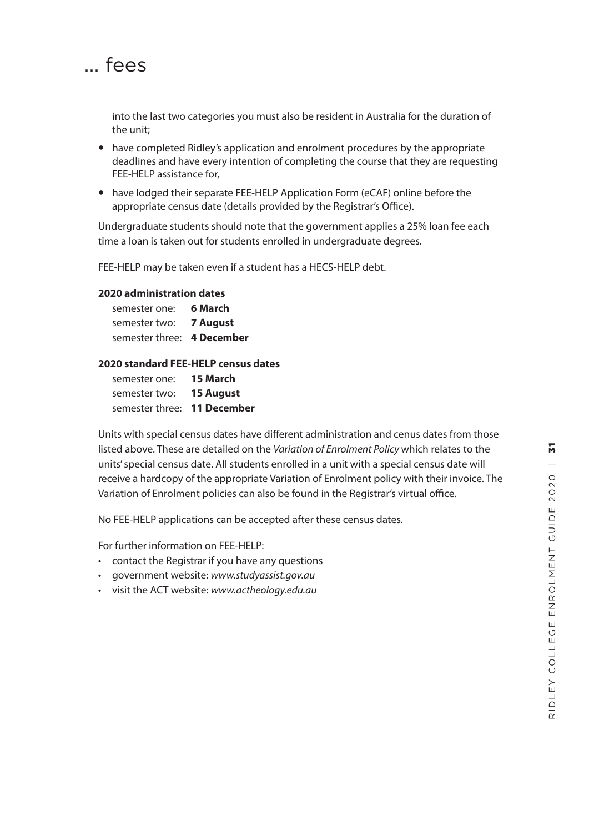

into the last two categories you must also be resident in Australia for the duration of the unit;

- have completed Ridley's application and enrolment procedures by the appropriate deadlines and have every intention of completing the course that they are requesting FEE-HELP assistance for,
- have lodged their separate FEE-HELP Application Form (eCAF) online before the appropriate census date (details provided by the Registrar's Office).

Undergraduate students should note that the government applies a 25% loan fee each time a loan is taken out for students enrolled in undergraduate degrees.

FEE-HELP may be taken even if a student has a HECS-HELP debt.

#### **2020 administration dates**

| semester one:              | 6 March  |
|----------------------------|----------|
| semester two:              | 7 August |
| semester three: 4 December |          |

#### **2020 standard FEE-HELP census dates**

| semester one:               | 15 March         |
|-----------------------------|------------------|
| semester two:               | <b>15 August</b> |
| semester three: 11 December |                  |

Units with special census dates have different administration and cenus dates from those listed above. These are detailed on the *Variation of Enrolment Policy* which relates to the units' special census date. All students enrolled in a unit with a special census date will receive a hardcopy of the appropriate Variation of Enrolment policy with their invoice. The Variation of Enrolment policies can also be found in the Registrar's virtual office.

No FEE-HELP applications can be accepted after these census dates.

For further information on FEE-HELP:

- contact the Registrar if you have any questions government website: *www.studyassist.gov.au*
- 
- visit the ACT website: *www.actheology.edu.au*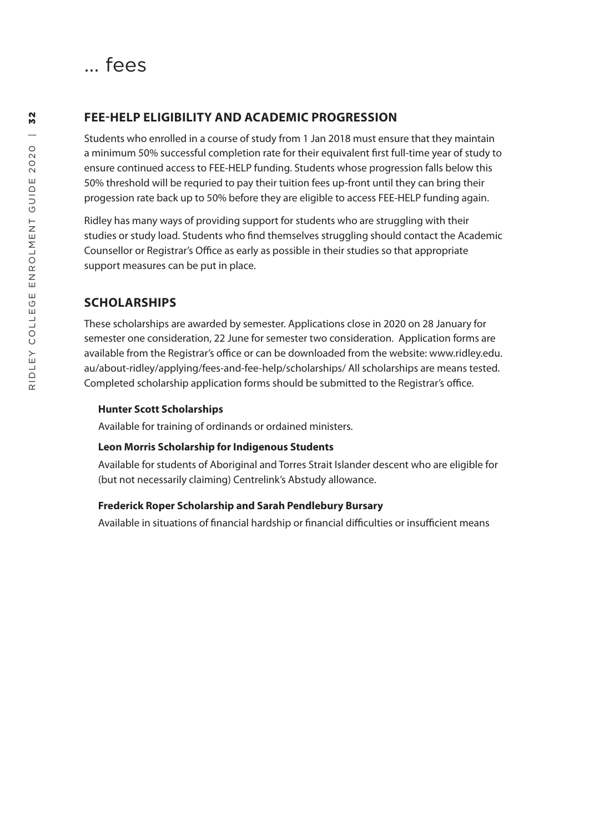

## **FEE-HELP ELIGIBILITY AND ACADEMIC PROGRESSION**

Students who enrolled in a course of study from 1 Jan 2018 must ensure that they maintain a minimum 50% successful completion rate for their equivalent first full-time year of study to ensure continued access to FEE-HELP funding. Students whose progression falls below this 50% threshold will be requried to pay their tuition fees up-front until they can bring their progession rate back up to 50% before they are eligible to access FEE-HELP funding again.

Ridley has many ways of providing support for students who are struggling with their studies or study load. Students who find themselves struggling should contact the Academic Counsellor or Registrar's Office as early as possible in their studies so that appropriate support measures can be put in place.

### **SCHOLARSHIPS**

These scholarships are awarded by semester. Applications close in 2020 on 28 January for semester one consideration, 22 June for semester two consideration. Application forms are available from the Registrar's office or can be downloaded from the website: www.ridley.edu. au/about-ridley/applying/fees-and-fee-help/scholarships/ All scholarships are means tested. Completed scholarship application forms should be submitted to the Registrar's office.

#### **Hunter Scott Scholarships**

Available for training of ordinands or ordained ministers.

#### **Leon Morris Scholarship for Indigenous Students**

Available for students of Aboriginal and Torres Strait Islander descent who are eligible for (but not necessarily claiming) Centrelink's Abstudy allowance.

#### **Frederick Roper Scholarship and Sarah Pendlebury Bursary**

Available in situations of financial hardship or financial difficulties or insufficient means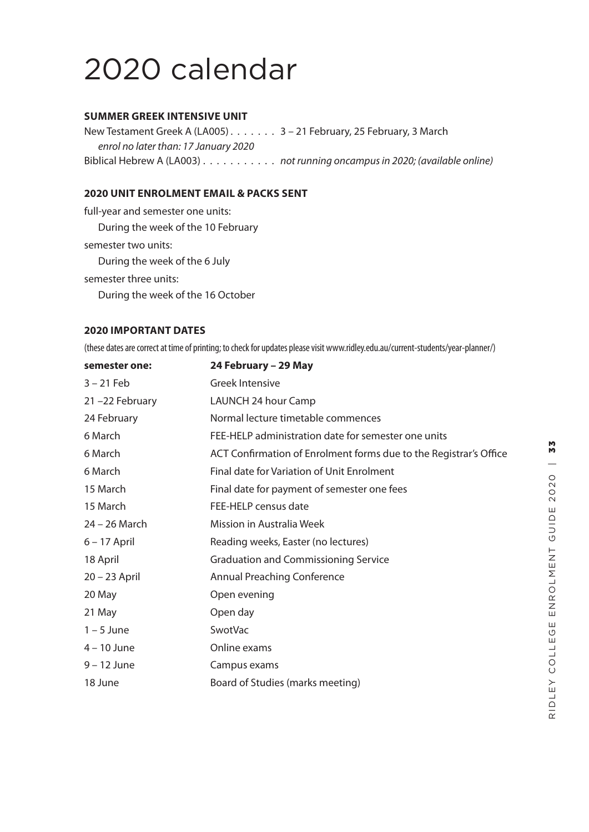# 2020 calendar

#### **SUMMER GREEK INTENSIVE UNIT**

New Testament Greek A (LA005) . . . . . . . 3 - 21 February, 25 February, 3 March *enrol no later than: 17 January 2020* Biblical Hebrew A (LA003) . . . . . . . . . . . . *not running oncampus in 2020; (available online)* 

### **2020 UNIT ENROLMENT EMAIL & PACKS SENT**

full-year and semester one units: During the week of the 10 February semester two units: During the week of the 6 July semester three units: During the week of the 16 October

#### **2020 IMPORTANT DATES**

(these dates are correct at time of printing; to check for updates please visit www.ridley.edu.au/current-students/year-planner/)

| semester one:  | 24 February - 29 May                                              |
|----------------|-------------------------------------------------------------------|
| $3 - 21$ Feb   | <b>Greek Intensive</b>                                            |
| 21-22 February | LAUNCH 24 hour Camp                                               |
| 24 February    | Normal lecture timetable commences                                |
| 6 March        | FEE-HELP administration date for semester one units               |
| 6 March        | ACT Confirmation of Enrolment forms due to the Registrar's Office |
| 6 March        | Final date for Variation of Unit Enrolment                        |
| 15 March       | Final date for payment of semester one fees                       |
| 15 March       | FEE-HELP census date                                              |
| 24 – 26 March  | Mission in Australia Week                                         |
| $6 - 17$ April | Reading weeks, Easter (no lectures)                               |
| 18 April       | <b>Graduation and Commissioning Service</b>                       |
| 20 - 23 April  | <b>Annual Preaching Conference</b>                                |
| 20 May         | Open evening                                                      |
| 21 May         | Open day                                                          |
| $1 - 5$ June   | SwotVac                                                           |
| 4 – 10 June    | Online exams                                                      |
| $9 - 12$ June  | Campus exams                                                      |
| 18 June        | Board of Studies (marks meeting)                                  |
|                |                                                                   |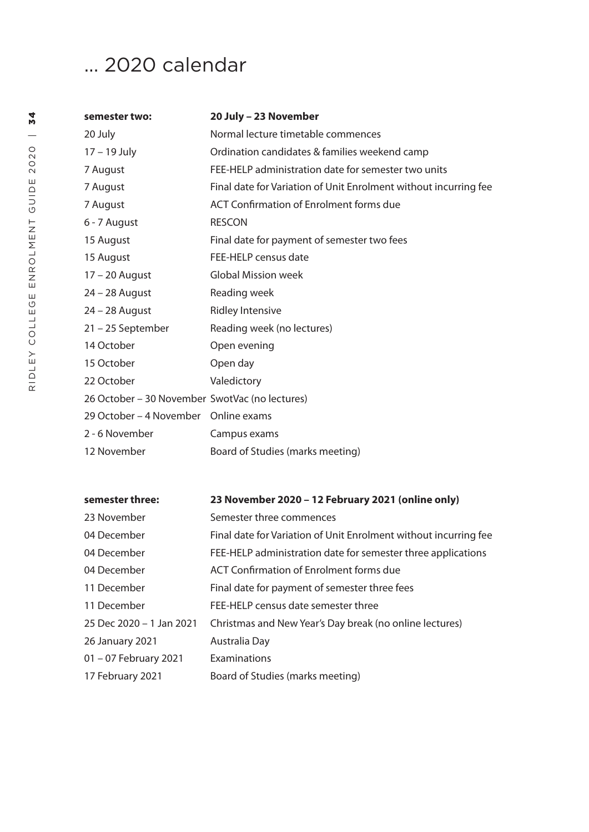# ... 2020 calendar

| semester two:                                  | 20 July - 23 November                                            |
|------------------------------------------------|------------------------------------------------------------------|
| 20 July                                        | Normal lecture timetable commences                               |
| 17 - 19 July                                   | Ordination candidates & families weekend camp                    |
| 7 August                                       | FEE-HELP administration date for semester two units              |
| 7 August                                       | Final date for Variation of Unit Enrolment without incurring fee |
| 7 August                                       | <b>ACT Confirmation of Enrolment forms due</b>                   |
| 6 - 7 August                                   | <b>RESCON</b>                                                    |
| 15 August                                      | Final date for payment of semester two fees                      |
| 15 August                                      | FEE-HELP census date                                             |
| $17 - 20$ August                               | <b>Global Mission week</b>                                       |
| $24 - 28$ August                               | Reading week                                                     |
| 24 - 28 August                                 | <b>Ridley Intensive</b>                                          |
| 21 – 25 September                              | Reading week (no lectures)                                       |
| 14 October                                     | Open evening                                                     |
| 15 October                                     | Open day                                                         |
| 22 October                                     | Valedictory                                                      |
| 26 October - 30 November SwotVac (no lectures) |                                                                  |
| 29 October – 4 November Online exams           |                                                                  |
| 2 - 6 November                                 | Campus exams                                                     |
| 12 November                                    | Board of Studies (marks meeting)                                 |

| semester three:          | 23 November 2020 - 12 February 2021 (online only)                |
|--------------------------|------------------------------------------------------------------|
| 23 November              | Semester three commences                                         |
| 04 December              | Final date for Variation of Unit Enrolment without incurring fee |
| 04 December              | FEE-HELP administration date for semester three applications     |
| 04 December              | ACT Confirmation of Enrolment forms due                          |
| 11 December              | Final date for payment of semester three fees                    |
| 11 December              | FEE-HELP census date semester three                              |
| 25 Dec 2020 - 1 Jan 2021 | Christmas and New Year's Day break (no online lectures)          |
| 26 January 2021          | Australia Day                                                    |
| 01 - 07 February 2021    | Examinations                                                     |
| 17 February 2021         | Board of Studies (marks meeting)                                 |